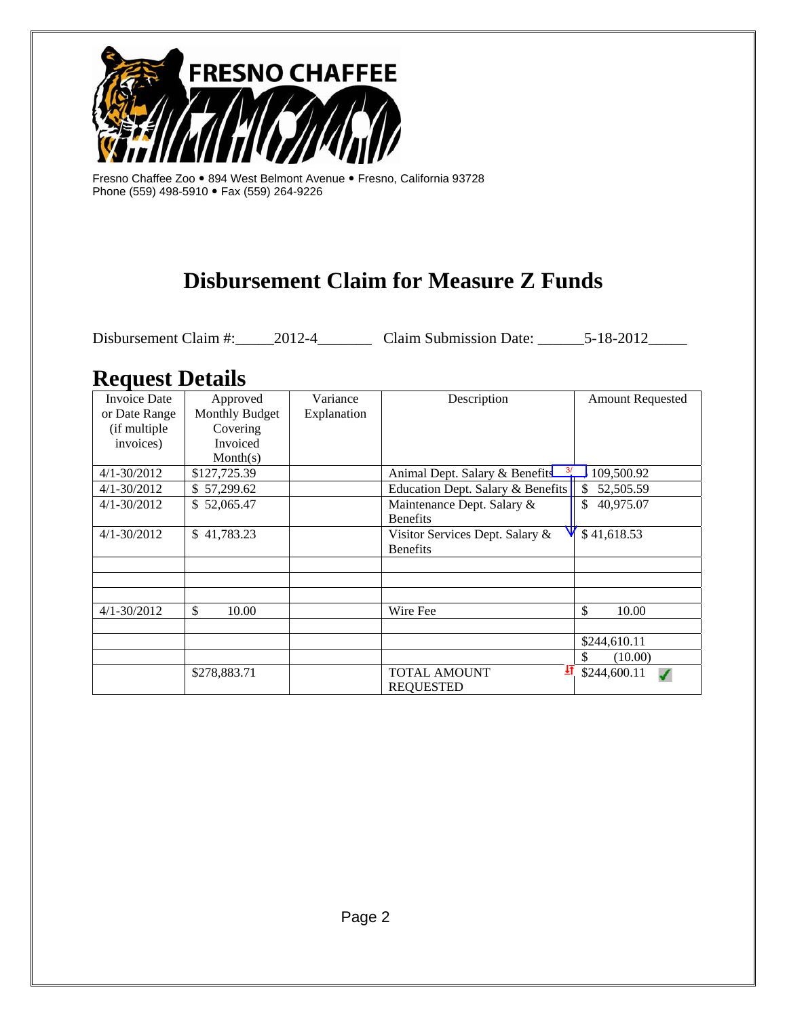

Fresno Chaffee Zoo • 894 West Belmont Avenue • Fresno, California 93728 Phone (559) 498-5910 • Fax (559) 264-9226

# **Disbursement Claim for Measure Z Funds**

Disbursement Claim #:\_\_\_\_\_\_2012-4\_\_\_\_\_\_\_\_\_\_ Claim Submission Date: \_\_\_\_\_\_\_5-18-2012\_\_\_\_\_\_

# **Request Details**

| <b>Invoice Date</b> | Approved       | Variance    | Description                                     | <b>Amount Requested</b> |
|---------------------|----------------|-------------|-------------------------------------------------|-------------------------|
| or Date Range       | Monthly Budget | Explanation |                                                 |                         |
| (if multiple        | Covering       |             |                                                 |                         |
| invoices)           | Invoiced       |             |                                                 |                         |
|                     | Month(s)       |             |                                                 |                         |
| $4/1 - 30/2012$     | \$127,725.39   |             | $\frac{3}{2}$<br>Animal Dept. Salary & Benefits | 109,500.92              |
| $4/1 - 30/2012$     | \$57,299.62    |             | Education Dept. Salary & Benefits               | 52,505.59<br>\$         |
| $4/1 - 30/2012$     | \$52,065.47    |             | Maintenance Dept. Salary &                      | \$<br>40,975.07         |
|                     |                |             | <b>Benefits</b>                                 |                         |
| $4/1 - 30/2012$     | \$41,783.23    |             | Visitor Services Dept. Salary &                 | \$41,618.53             |
|                     |                |             | <b>Benefits</b>                                 |                         |
|                     |                |             |                                                 |                         |
|                     |                |             |                                                 |                         |
|                     |                |             |                                                 |                         |
| $4/1 - 30/2012$     | \$<br>10.00    |             | Wire Fee                                        | \$<br>10.00             |
|                     |                |             |                                                 |                         |
|                     |                |             |                                                 | \$244,610.11            |
|                     |                |             |                                                 | \$<br>(10.00)           |
|                     | \$278,883.71   |             | 封<br><b>TOTAL AMOUNT</b>                        | \$244,600.11            |
|                     |                |             | <b>REQUESTED</b>                                |                         |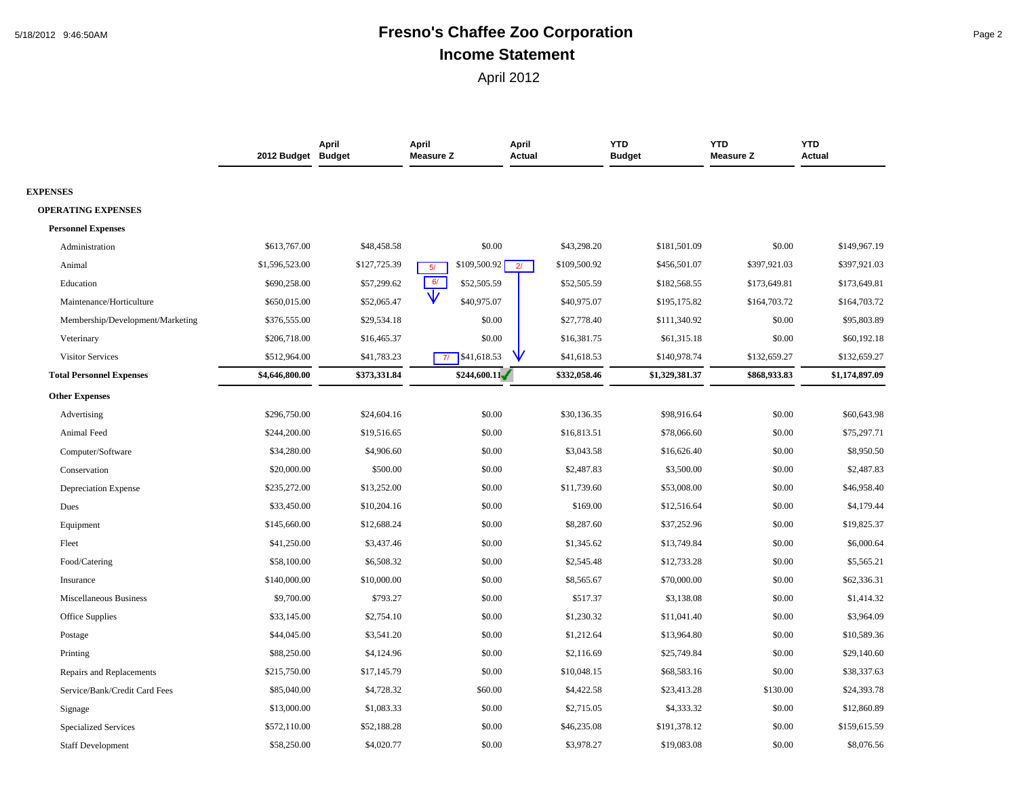# 5/18/2012 9:46:50AM **Fresno's Chaffee Zoo Corporation** Page 2 **Income Statement**

|                                  | 2012 Budget Budget | April        | April<br><b>Measure Z</b>   | April<br>Actual                | <b>YTD</b><br><b>Budget</b> | <b>YTD</b><br><b>Measure Z</b> | <b>YTD</b><br>Actual |
|----------------------------------|--------------------|--------------|-----------------------------|--------------------------------|-----------------------------|--------------------------------|----------------------|
| <b>EXPENSES</b>                  |                    |              |                             |                                |                             |                                |                      |
| <b>OPERATING EXPENSES</b>        |                    |              |                             |                                |                             |                                |                      |
| <b>Personnel Expenses</b>        |                    |              |                             |                                |                             |                                |                      |
| Administration                   | \$613,767.00       | \$48,458.58  | \$0.00                      | \$43,298.20                    | \$181,501.09                | \$0.00                         | \$149,967.19         |
| Animal                           | \$1,596,523.00     | \$127,725.39 | \$109,500.92 $\Gamma$<br>5/ | \$109,500.92<br>2 <sup>1</sup> | \$456,501.07                | \$397,921.03                   | \$397,921.03         |
| Education                        | \$690,258.00       | \$57,299.62  | 6/<br>\$52,505.59           | \$52,505.59                    | \$182,568.55                | \$173,649.81                   | \$173,649.81         |
| Maintenance/Horticulture         | \$650,015.00       | \$52,065.47  | \$40,975.07                 | \$40,975.07                    | \$195,175.82                | \$164,703.72                   | \$164,703.72         |
| Membership/Development/Marketing | \$376,555.00       | \$29,534.18  | \$0.00                      | \$27,778.40                    | \$111,340.92                | \$0.00                         | \$95,803.89          |
| Veterinary                       | \$206,718.00       | \$16,465.37  | \$0.00                      | \$16,381.75                    | \$61,315.18                 | \$0.00                         | \$60,192.18          |
| Visitor Services                 | \$512,964.00       | \$41,783.23  | \$41,618.53<br>71           | \$41,618.53                    | \$140,978.74                | \$132,659.27                   | \$132,659.27         |
| <b>Total Personnel Expenses</b>  | \$4,646,800.00     | \$373,331.84 | \$244,600.11                | \$332,058.46                   | \$1,329,381.37              | \$868,933.83                   | \$1,174,897.09       |
| <b>Other Expenses</b>            |                    |              |                             |                                |                             |                                |                      |
| Advertising                      | \$296,750.00       | \$24,604.16  | \$0.00                      | \$30,136.35                    | \$98,916.64                 | \$0.00                         | \$60,643.98          |
| Animal Feed                      | \$244,200.00       | \$19,516.65  | \$0.00                      | \$16,813.51                    | \$78,066.60                 | \$0.00                         | \$75,297.71          |
| Computer/Software                | \$34,280.00        | \$4,906.60   | \$0.00                      | \$3,043.58                     | \$16,626.40                 | \$0.00                         | \$8,950.50           |
| Conservation                     | \$20,000.00        | \$500.00     | \$0.00                      | \$2,487.83                     | \$3,500.00                  | \$0.00                         | \$2,487.83           |
| <b>Depreciation Expense</b>      | \$235,272.00       | \$13,252.00  | \$0.00                      | \$11,739.60                    | \$53,008.00                 | \$0.00                         | \$46,958.40          |
| Dues                             | \$33,450.00        | \$10,204.16  | \$0.00                      | \$169.00                       | \$12,516.64                 | \$0.00                         | \$4,179.44           |
| Equipment                        | \$145,660.00       | \$12,688.24  | \$0.00                      | \$8,287.60                     | \$37,252.96                 | \$0.00                         | \$19,825.37          |
| Fleet                            | \$41,250.00        | \$3,437.46   | \$0.00                      | \$1,345.62                     | \$13,749.84                 | \$0.00                         | \$6,000.64           |
| Food/Catering                    | \$58,100.00        | \$6,508.32   | \$0.00                      | \$2,545.48                     | \$12,733.28                 | \$0.00                         | \$5,565.21           |
| Insurance                        | \$140,000.00       | \$10,000.00  | \$0.00                      | \$8,565.67                     | \$70,000.00                 | \$0.00                         | \$62,336.31          |
| <b>Miscellaneous Business</b>    | \$9,700.00         | \$793.27     | \$0.00                      | \$517.37                       | \$3,138.08                  | \$0.00                         | \$1,414.32           |
| Office Supplies                  | \$33,145.00        | \$2,754.10   | \$0.00                      | \$1,230.32                     | \$11,041.40                 | \$0.00                         | \$3,964.09           |
| Postage                          | \$44,045.00        | \$3,541.20   | \$0.00                      | \$1,212.64                     | \$13,964.80                 | \$0.00                         | \$10,589.36          |
| Printing                         | \$88,250.00        | \$4,124.96   | \$0.00                      | \$2,116.69                     | \$25,749.84                 | \$0.00                         | \$29,140.60          |
| Repairs and Replacements         | \$215,750.00       | \$17,145.79  | \$0.00                      | \$10,048.15                    | \$68,583.16                 | \$0.00                         | \$38,337.63          |
| Service/Bank/Credit Card Fees    | \$85,040.00        | \$4,728.32   | \$60.00                     | \$4,422.58                     | \$23,413.28                 | \$130.00                       | \$24,393.78          |
| Signage                          | \$13,000.00        | \$1,083.33   | \$0.00                      | \$2,715.05                     | \$4,333.32                  | \$0.00                         | \$12,860.89          |
| <b>Specialized Services</b>      | \$572,110.00       | \$52,188.28  | \$0.00                      | \$46,235.08                    | \$191,378.12                | \$0.00                         | \$159,615.59         |
| <b>Staff Development</b>         | \$58,250.00        | \$4,020.77   | \$0.00                      | \$3,978.27                     | \$19,083.08                 | \$0.00                         | \$8,076.56           |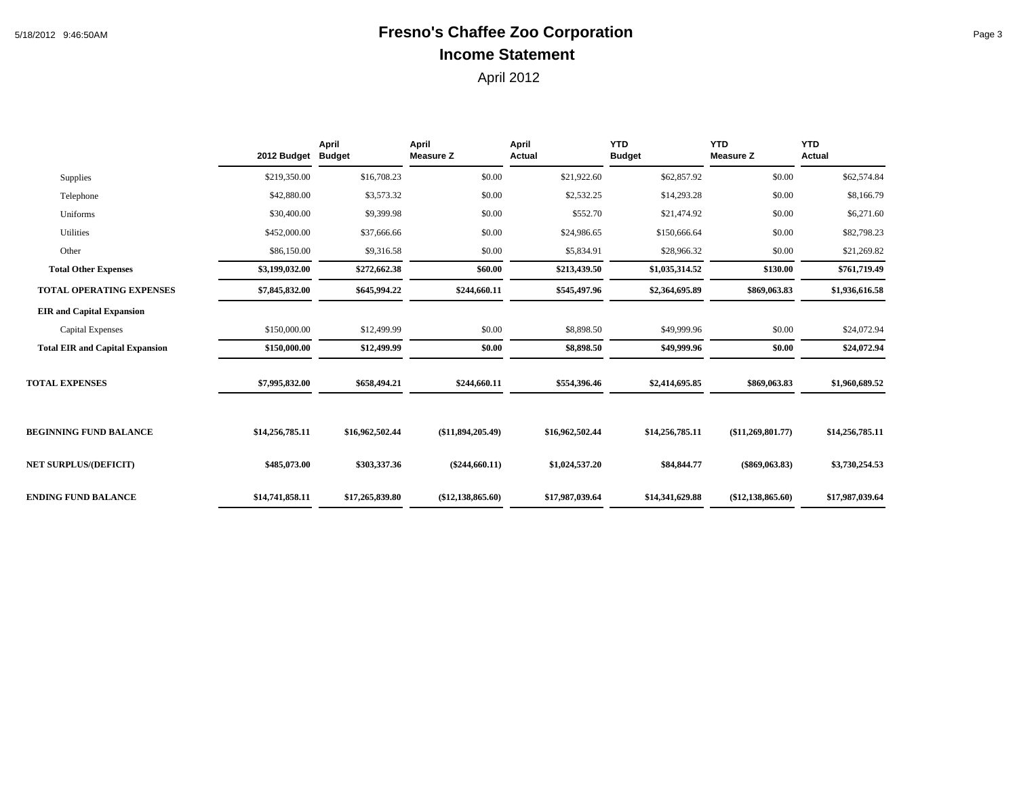# 5/18/2012 9:46:50AM **Fresno's Chaffee Zoo Corporation** Page 3 **Income Statement**

|                                        | 2012 Budget Budget | April           | <b>April</b><br><b>Measure Z</b> | April<br><b>Actual</b> | <b>YTD</b><br><b>Budget</b> | <b>YTD</b><br><b>Measure Z</b> | <b>YTD</b><br>Actual |
|----------------------------------------|--------------------|-----------------|----------------------------------|------------------------|-----------------------------|--------------------------------|----------------------|
| Supplies                               | \$219,350.00       | \$16,708.23     | \$0.00                           | \$21,922.60            | \$62,857.92                 | \$0.00                         | \$62,574.84          |
| Telephone                              | \$42,880.00        | \$3,573.32      | \$0.00                           | \$2,532.25             | \$14,293.28                 | \$0.00                         | \$8,166.79           |
| Uniforms                               | \$30,400.00        | \$9,399.98      | \$0.00                           | \$552.70               | \$21,474.92                 | \$0.00                         | \$6,271.60           |
| Utilities                              | \$452,000.00       | \$37,666.66     | \$0.00                           | \$24,986.65            | \$150,666.64                | \$0.00                         | \$82,798.23          |
| Other                                  | \$86,150.00        | \$9,316.58      | \$0.00                           | \$5,834.91             | \$28,966.32                 | \$0.00                         | \$21,269.82          |
| <b>Total Other Expenses</b>            | \$3,199,032.00     | \$272,662.38    | \$60.00                          | \$213,439.50           | \$1,035,314.52              | \$130.00                       | \$761,719.49         |
| <b>TOTAL OPERATING EXPENSES</b>        | \$7,845,832.00     | \$645,994.22    | \$244,660.11                     | \$545,497.96           | \$2,364,695.89              | \$869,063.83                   | \$1,936,616.58       |
| <b>EIR</b> and Capital Expansion       |                    |                 |                                  |                        |                             |                                |                      |
| <b>Capital Expenses</b>                | \$150,000.00       | \$12,499.99     | \$0.00                           | \$8,898.50             | \$49,999.96                 | \$0.00                         | \$24,072.94          |
| <b>Total EIR and Capital Expansion</b> | \$150,000.00       | \$12,499.99     | \$0.00                           | \$8,898.50             | \$49,999.96                 | \$0.00                         | \$24,072.94          |
| <b>TOTAL EXPENSES</b>                  | \$7,995,832.00     | \$658,494.21    | \$244,660.11                     | \$554,396.46           | \$2,414,695.85              | \$869,063.83                   | \$1,960,689.52       |
| <b>BEGINNING FUND BALANCE</b>          | \$14,256,785.11    | \$16,962,502.44 | $(\$11,894,205.49)$              | \$16,962,502.44        | \$14,256,785.11             | (\$11,269,801.77)              | \$14,256,785.11      |
| <b>NET SURPLUS/(DEFICIT)</b>           | \$485,073.00       | \$303,337.36    | $(\$244,660.11)$                 | \$1,024,537.20         | \$84,844.77                 | $(\$869,063.83)$               | \$3,730,254.53       |
| <b>ENDING FUND BALANCE</b>             | \$14,741,858.11    | \$17,265,839.80 | $(\$12,138,865.60)$              | \$17,987,039.64        | \$14,341,629.88             | $(\$12,138,865.60)$            | \$17,987,039.64      |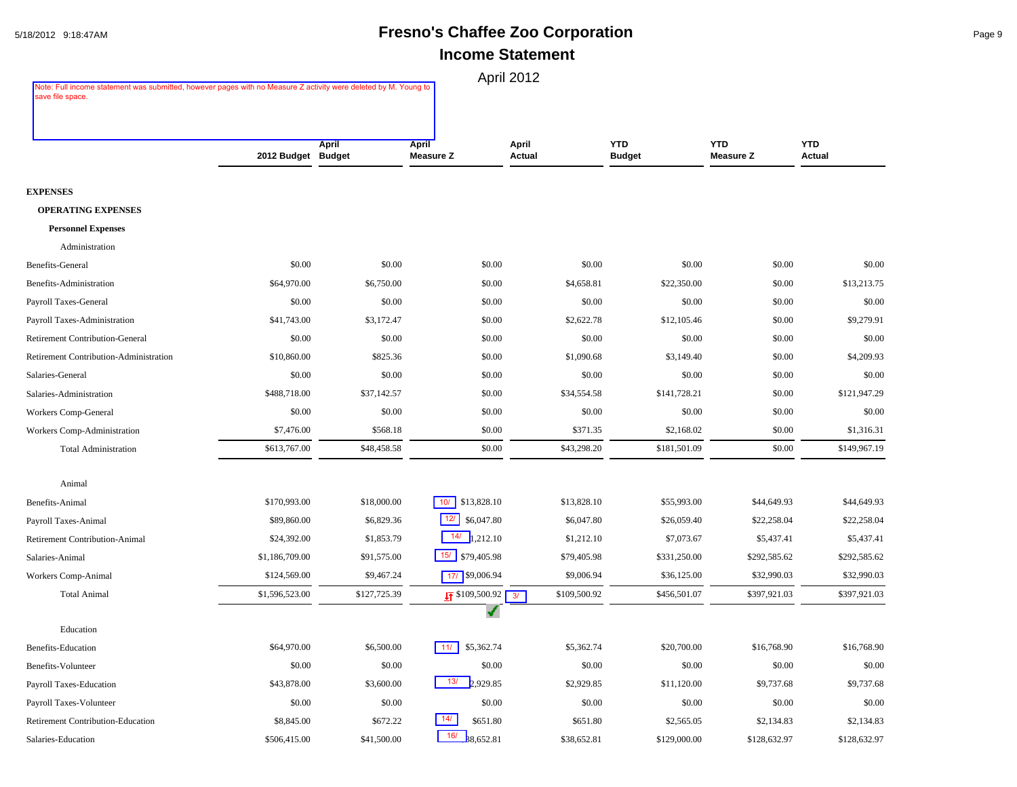#### 5/18/2012 9:18:47AM **Fresno's Chaffee Zoo Corporation** Page 9 **Income Statement**

| Note: Full income statement was submitted, however pages with no Measure Z activity were deleted by M. Young to<br>save file space. |                    |              |                            | April 2012      |                             |                                |                      |
|-------------------------------------------------------------------------------------------------------------------------------------|--------------------|--------------|----------------------------|-----------------|-----------------------------|--------------------------------|----------------------|
|                                                                                                                                     |                    |              |                            |                 |                             |                                |                      |
|                                                                                                                                     | 2012 Budget Budget | April        | April<br><b>Measure Z</b>  | April<br>Actual | <b>YTD</b><br><b>Budget</b> | <b>YTD</b><br><b>Measure Z</b> | <b>YTD</b><br>Actual |
| <b>EXPENSES</b>                                                                                                                     |                    |              |                            |                 |                             |                                |                      |
| <b>OPERATING EXPENSES</b>                                                                                                           |                    |              |                            |                 |                             |                                |                      |
| <b>Personnel Expenses</b>                                                                                                           |                    |              |                            |                 |                             |                                |                      |
| Administration                                                                                                                      |                    |              |                            |                 |                             |                                |                      |
| Benefits-General                                                                                                                    | \$0.00             | \$0.00       | \$0.00                     | \$0.00          | \$0.00                      | \$0.00                         | \$0.00               |
| Benefits-Administration                                                                                                             | \$64,970.00        | \$6,750.00   | \$0.00                     | \$4,658.81      | \$22,350.00                 | \$0.00                         | \$13,213.75          |
| Payroll Taxes-General                                                                                                               | \$0.00             | \$0.00       | \$0.00                     | \$0.00          | \$0.00                      | \$0.00                         | \$0.00               |
| Payroll Taxes-Administration                                                                                                        | \$41,743.00        | \$3,172.47   | \$0.00                     | \$2,622.78      | \$12,105.46                 | \$0.00                         | \$9,279.91           |
| <b>Retirement Contribution-General</b>                                                                                              | \$0.00             | \$0.00       | \$0.00                     | \$0.00          | \$0.00                      | \$0.00                         | \$0.00               |
| Retirement Contribution-Administration                                                                                              | \$10,860.00        | \$825.36     | \$0.00                     | \$1,090.68      | \$3,149.40                  | \$0.00                         | \$4,209.93           |
| Salaries-General                                                                                                                    | \$0.00             | \$0.00       | \$0.00                     | \$0.00          | \$0.00                      | \$0.00                         | \$0.00               |
| Salaries-Administration                                                                                                             | \$488,718.00       | \$37,142.57  | \$0.00                     | \$34,554.58     | \$141,728.21                | \$0.00                         | \$121,947.29         |
| Workers Comp-General                                                                                                                | \$0.00             | \$0.00       | \$0.00                     | \$0.00          | \$0.00                      | \$0.00                         | \$0.00               |
| Workers Comp-Administration                                                                                                         | \$7,476.00         | \$568.18     | \$0.00                     | \$371.35        | \$2,168.02                  | \$0.00                         | \$1,316.31           |
| <b>Total Administration</b>                                                                                                         | \$613,767.00       | \$48,458.58  | \$0.00                     | \$43,298.20     | \$181,501.09                | \$0.00                         | \$149,967.19         |
| Animal                                                                                                                              |                    |              |                            |                 |                             |                                |                      |
| Benefits-Animal                                                                                                                     | \$170,993.00       | \$18,000.00  | 10/<br>\$13,828.10         | \$13,828.10     | \$55,993.00                 | \$44,649.93                    | \$44,649.93          |
| Payroll Taxes-Animal                                                                                                                | \$89,860.00        | \$6,829.36   | 12/<br>\$6,047.80          | \$6,047.80      | \$26,059.40                 | \$22,258.04                    | \$22,258.04          |
| <b>Retirement Contribution-Animal</b>                                                                                               | \$24,392.00        | \$1,853.79   | 14/<br>1,212.10            | \$1,212.10      | \$7,073.67                  | \$5,437.41                     | \$5,437.41           |
| Salaries-Animal                                                                                                                     | \$1,186,709.00     | \$91,575.00  | 15/ \$79,405.98            | \$79,405.98     | \$331,250.00                | \$292,585.62                   | \$292,585.62         |
| Workers Comp-Animal                                                                                                                 | \$124,569.00       | \$9,467.24   | 17/ \$9,006.94             | \$9,006.94      | \$36,125.00                 | \$32,990.03                    | \$32,990.03          |
| <b>Total Animal</b>                                                                                                                 | \$1,596,523.00     | \$127,725.39 | $\sqrt{5}$ \$109,500.92 3/ | \$109,500.92    | \$456,501.07                | \$397,921.03                   | \$397,921.03         |
| Education                                                                                                                           |                    |              |                            |                 |                             |                                |                      |
| <b>Benefits-Education</b>                                                                                                           | \$64,970.00        | \$6,500.00   | $11/$ \$5,362.74           | \$5,362.74      | \$20,700.00                 | \$16,768.90                    | \$16,768.90          |
| Benefits-Volunteer                                                                                                                  | \$0.00             | \$0.00       | \$0.00                     | \$0.00          | \$0.00                      | \$0.00                         | \$0.00               |
| Payroll Taxes-Education                                                                                                             | \$43,878.00        | \$3,600.00   | 13/<br>2,929.85            | \$2,929.85      | \$11,120.00                 | \$9,737.68                     | \$9,737.68           |
| Payroll Taxes-Volunteer                                                                                                             | \$0.00             | \$0.00       | \$0.00                     | \$0.00          | \$0.00                      | \$0.00                         | \$0.00               |
| Retirement Contribution-Education                                                                                                   | \$8,845.00         | \$672.22     | 14/<br>\$651.80            | \$651.80        | \$2,565.05                  | \$2,134.83                     | \$2,134.83           |
| Salaries-Education                                                                                                                  | \$506,415.00       | \$41,500.00  | 16/<br>8,652.81            | \$38,652.81     | \$129,000.00                | \$128,632.97                   | \$128,632.97         |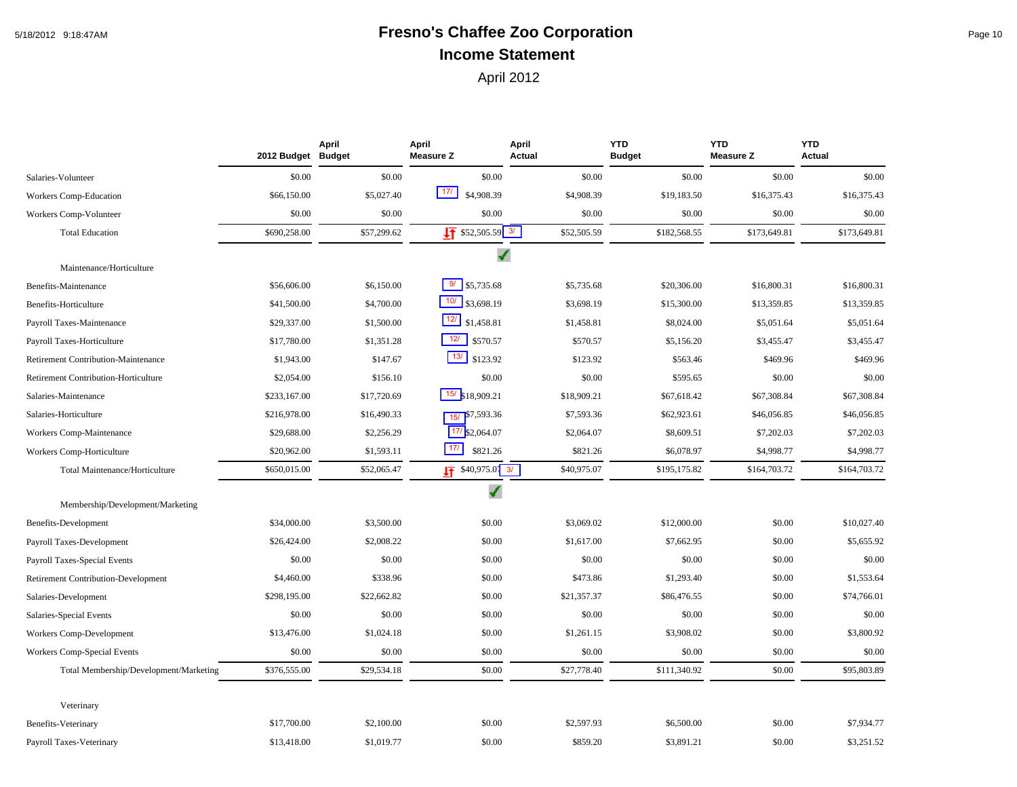# 5/18/2012 9:18:47AM **Fresno's Chaffee Zoo Corporation** Page 10 **Income Statement**

|                                            | 2012 Budget  | April<br><b>Budget</b> | April<br><b>Measure Z</b>      | April<br>Actual | <b>YTD</b><br><b>Budget</b> | <b>YTD</b><br><b>Measure Z</b> | <b>YTD</b><br><b>Actual</b> |
|--------------------------------------------|--------------|------------------------|--------------------------------|-----------------|-----------------------------|--------------------------------|-----------------------------|
| Salaries-Volunteer                         | \$0.00       | \$0.00                 | \$0.00                         | \$0.00          | \$0.00                      | \$0.00                         | \$0.00                      |
| Workers Comp-Education                     | \$66,150.00  | \$5,027.40             | 17/<br>\$4,908.39              | \$4,908.39      | \$19,183.50                 | \$16,375.43                    | \$16,375.43                 |
| Workers Comp-Volunteer                     | \$0.00       | \$0.00                 | \$0.00                         | \$0.00          | \$0.00                      | \$0.00                         | \$0.00                      |
| <b>Total Education</b>                     | \$690,258.00 | \$57,299.62            | $\sqrt{17}$ \$52,505.59 3/     | \$52,505.59     | \$182,568.55                | \$173,649.81                   | \$173,649.81                |
| Maintenance/Horticulture                   |              |                        | ✔                              |                 |                             |                                |                             |
| Benefits-Maintenance                       | \$56,606.00  | \$6,150.00             | 9/<br>\$5,735.68               | \$5,735.68      | \$20,306.00                 | \$16,800.31                    | \$16,800.31                 |
| Benefits-Horticulture                      | \$41,500.00  | \$4,700.00             | $10/$<br>\$3,698.19            | \$3,698.19      | \$15,300.00                 | \$13,359.85                    | \$13,359.85                 |
| Payroll Taxes-Maintenance                  | \$29,337.00  | \$1,500.00             | 12/<br>\$1,458.81              | \$1,458.81      | \$8,024.00                  | \$5,051.64                     | \$5,051.64                  |
| Payroll Taxes-Horticulture                 | \$17,780.00  | \$1,351.28             | 12/<br>\$570.57                | \$570.57        | \$5,156.20                  | \$3,455.47                     | \$3,455.47                  |
| Retirement Contribution-Maintenance        | \$1,943.00   | \$147.67               | 13/<br>\$123.92                | \$123.92        | \$563.46                    | \$469.96                       | \$469.96                    |
| Retirement Contribution-Horticulture       | \$2,054.00   | \$156.10               | \$0.00                         | \$0.00          | \$595.65                    | \$0.00                         | \$0.00                      |
| Salaries-Maintenance                       | \$233,167.00 | \$17,720.69            | $15/$ \$18,909.21              | \$18,909.21     | \$67,618.42                 | \$67,308.84                    | \$67,308.84                 |
| Salaries-Horticulture                      | \$216,978.00 | \$16,490.33            | $15/$ \$7,593.36               | \$7,593.36      | \$62,923.61                 | \$46,056.85                    | \$46,056.85                 |
| Workers Comp-Maintenance                   | \$29,688.00  | \$2,256.29             | $17/$ \$2,064.07               | \$2,064.07      | \$8,609.51                  | \$7,202.03                     | \$7,202.03                  |
| Workers Comp-Horticulture                  | \$20,962.00  | \$1,593.11             | 171<br>\$821.26                | \$821.26        | \$6,078.97                  | \$4,998.77                     | \$4,998.77                  |
| Total Maintenance/Horticulture             | \$650,015.00 | \$52,065.47            | $\frac{17}{11}$ \$40,975.07 3/ | \$40,975.07     | \$195,175.82                | \$164,703.72                   | \$164,703.72                |
| Membership/Development/Marketing           |              |                        | √                              |                 |                             |                                |                             |
| Benefits-Development                       | \$34,000.00  | \$3,500.00             | \$0.00                         | \$3,069.02      | \$12,000.00                 | \$0.00                         | \$10,027.40                 |
| Payroll Taxes-Development                  | \$26,424.00  | \$2,008.22             | \$0.00                         | \$1,617.00      | \$7,662.95                  | \$0.00                         | \$5,655.92                  |
| Payroll Taxes-Special Events               | \$0.00       | \$0.00                 | \$0.00                         | \$0.00          | \$0.00                      | \$0.00                         | \$0.00                      |
| <b>Retirement Contribution-Development</b> | \$4,460.00   | \$338.96               | \$0.00                         | \$473.86        | \$1,293.40                  | \$0.00                         | \$1,553.64                  |
| Salaries-Development                       | \$298,195.00 | \$22,662.82            | \$0.00                         | \$21,357.37     | \$86,476.55                 | \$0.00                         | \$74,766.01                 |
| Salaries-Special Events                    | \$0.00       | \$0.00                 | \$0.00                         | \$0.00          | \$0.00                      | \$0.00                         | \$0.00                      |
| Workers Comp-Development                   | \$13,476.00  | \$1,024.18             | \$0.00                         | \$1,261.15      | \$3,908.02                  | \$0.00                         | \$3,800.92                  |
| Workers Comp-Special Events                | \$0.00       | \$0.00                 | \$0.00                         | \$0.00          | \$0.00                      | \$0.00                         | \$0.00                      |
| Total Membership/Development/Marketing     | \$376,555.00 | \$29,534.18            | \$0.00                         | \$27,778.40     | \$111,340.92                | \$0.00                         | \$95,803.89                 |
| Veterinary                                 |              |                        |                                |                 |                             |                                |                             |
| Benefits-Veterinary                        | \$17,700.00  | \$2,100.00             | \$0.00                         | \$2,597.93      | \$6,500.00                  | \$0.00                         | \$7,934.77                  |
| Payroll Taxes-Veterinary                   | \$13,418.00  | \$1,019.77             | \$0.00                         | \$859.20        | \$3,891.21                  | \$0.00                         | \$3,251.52                  |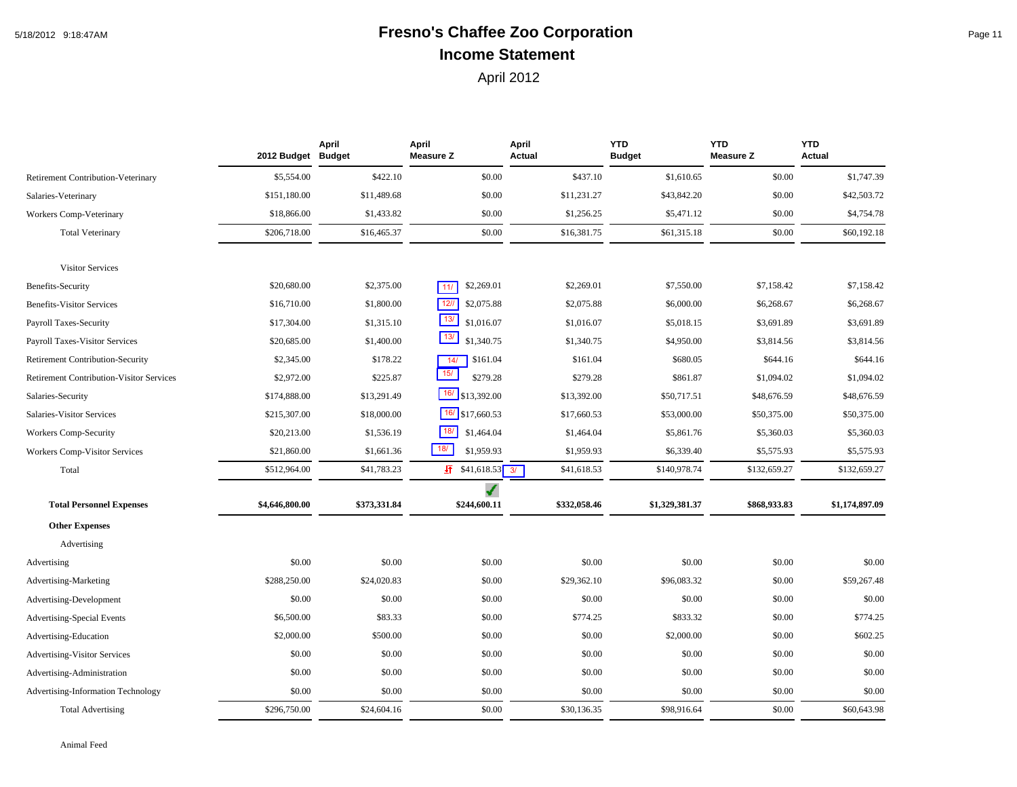# 5/18/2012 9:18:47AM **Fresno's Chaffee Zoo Corporation** Page 11 **Income Statement**

|                                                 | 2012 Budget Budget | April        | April<br><b>Measure Z</b> | April<br>Actual | <b>YTD</b><br><b>Budget</b> | <b>YTD</b><br><b>Measure Z</b> | <b>YTD</b><br>Actual |
|-------------------------------------------------|--------------------|--------------|---------------------------|-----------------|-----------------------------|--------------------------------|----------------------|
| Retirement Contribution-Veterinary              | \$5,554.00         | \$422.10     | \$0.00                    | \$437.10        | \$1,610.65                  | \$0.00                         | \$1,747.39           |
| Salaries-Veterinary                             | \$151,180.00       | \$11,489.68  | \$0.00                    | \$11,231.27     | \$43,842.20                 | \$0.00                         | \$42,503.72          |
| <b>Workers Comp-Veterinary</b>                  | \$18,866.00        | \$1,433.82   | \$0.00                    | \$1,256.25      | \$5,471.12                  | \$0.00                         | \$4,754.78           |
| <b>Total Veterinary</b>                         | \$206,718.00       | \$16,465.37  | \$0.00                    | \$16,381.75     | \$61,315.18                 | \$0.00                         | \$60,192.18          |
| <b>Visitor Services</b>                         |                    |              |                           |                 |                             |                                |                      |
| <b>Benefits-Security</b>                        | \$20,680.00        | \$2,375.00   | \$2,269.01<br>11/         | \$2,269.01      | \$7,550.00                  | \$7,158.42                     | \$7,158.42           |
| <b>Benefits-Visitor Services</b>                | \$16,710.00        | \$1,800.00   | $12$ //<br>\$2,075.88     | \$2,075.88      | \$6,000.00                  | \$6,268.67                     | \$6,268.67           |
| Payroll Taxes-Security                          | \$17,304.00        | \$1,315.10   | 13/<br>\$1,016.07         | \$1,016.07      | \$5,018.15                  | \$3,691.89                     | \$3,691.89           |
| <b>Payroll Taxes-Visitor Services</b>           | \$20,685.00        | \$1,400.00   | 13/<br>\$1,340.75         | \$1,340.75      | \$4,950.00                  | \$3,814.56                     | \$3,814.56           |
| Retirement Contribution-Security                | \$2,345.00         | \$178.22     | \$161.04<br>14/           | \$161.04        | \$680.05                    | \$644.16                       | \$644.16             |
| <b>Retirement Contribution-Visitor Services</b> | \$2,972.00         | \$225.87     | 15/<br>\$279.28           | \$279.28        | \$861.87                    | \$1,094.02                     | \$1,094.02           |
| Salaries-Security                               | \$174,888.00       | \$13,291.49  | $16/$ \$13,392.00         | \$13,392.00     | \$50,717.51                 | \$48,676.59                    | \$48,676.59          |
| Salaries-Visitor Services                       | \$215,307.00       | \$18,000.00  | $16/$ \$17,660.53         | \$17,660.53     | \$53,000.00                 | \$50,375.00                    | \$50,375.00          |
| Workers Comp-Security                           | \$20,213.00        | \$1,536.19   | 18/<br>\$1,464.04         | \$1,464.04      | \$5,861.76                  | \$5,360.03                     | \$5,360.03           |
| <b>Workers Comp-Visitor Services</b>            | \$21,860.00        | \$1,661.36   | 18/<br>\$1,959.93         | \$1,959.93      | \$6,339.40                  | \$5,575.93                     | \$5,575.93           |
| Total                                           | \$512,964.00       | \$41,783.23  | $\sqrt{1}$ \$41,618.53 3/ | \$41,618.53     | \$140,978.74                | \$132,659.27                   | \$132,659.27         |
| <b>Total Personnel Expenses</b>                 | \$4,646,800.00     | \$373,331.84 | ✔<br>\$244,600.11         | \$332,058.46    | \$1,329,381.37              | \$868,933.83                   | \$1,174,897.09       |
| <b>Other Expenses</b>                           |                    |              |                           |                 |                             |                                |                      |
| Advertising                                     |                    |              |                           |                 |                             |                                |                      |
| Advertising                                     | \$0.00             | \$0.00       | \$0.00                    | \$0.00          | \$0.00                      | \$0.00                         | \$0.00               |
| Advertising-Marketing                           | \$288,250.00       | \$24,020.83  | \$0.00                    | \$29,362.10     | \$96,083.32                 | \$0.00                         | \$59,267.48          |
| Advertising-Development                         | \$0.00             | \$0.00       | \$0.00                    | \$0.00          | \$0.00                      | \$0.00                         | \$0.00               |
| <b>Advertising-Special Events</b>               | \$6,500.00         | \$83.33      | \$0.00                    | \$774.25        | \$833.32                    | \$0.00                         | \$774.25             |
| Advertising-Education                           | \$2,000.00         | \$500.00     | \$0.00                    | \$0.00          | \$2,000.00                  | \$0.00                         | \$602.25             |
| <b>Advertising-Visitor Services</b>             | \$0.00             | \$0.00       | \$0.00                    | \$0.00          | \$0.00                      | \$0.00                         | \$0.00               |
| Advertising-Administration                      | \$0.00             | \$0.00       | \$0.00                    | \$0.00          | \$0.00                      | \$0.00                         | \$0.00               |
| Advertising-Information Technology              | \$0.00             | \$0.00       | \$0.00                    | \$0.00          | \$0.00                      | \$0.00                         | \$0.00               |
| <b>Total Advertising</b>                        | \$296,750.00       | \$24,604.16  | \$0.00                    | \$30,136.35     | \$98,916.64                 | \$0.00                         | \$60,643.98          |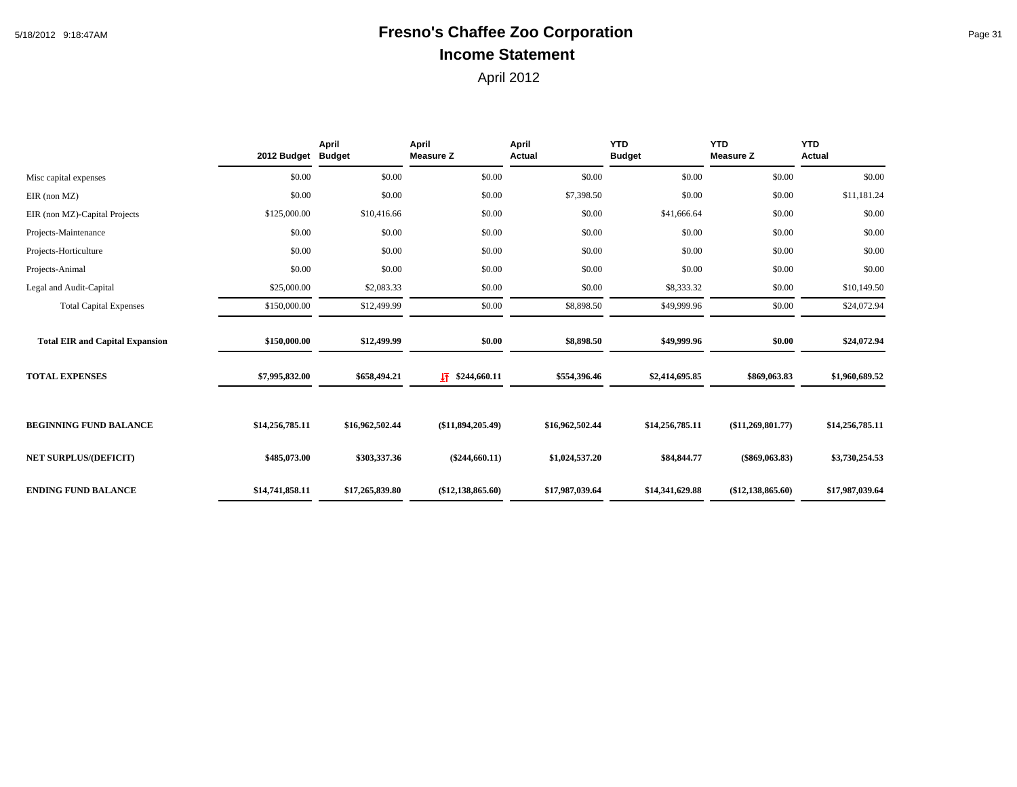# 5/18/2012 9:18:47AM **Fresno's Chaffee Zoo Corporation** Page 31 **Income Statement**

|                                        | 2012 Budget Budget | April           | April<br><b>Measure Z</b> | April<br><b>Actual</b> | <b>YTD</b><br><b>Budget</b> | <b>YTD</b><br><b>Measure Z</b> | <b>YTD</b><br>Actual |
|----------------------------------------|--------------------|-----------------|---------------------------|------------------------|-----------------------------|--------------------------------|----------------------|
| Misc capital expenses                  | \$0.00             | \$0.00          | \$0.00                    | \$0.00                 | \$0.00                      | \$0.00                         | \$0.00               |
| $EIR$ (non $MZ$ )                      | \$0.00             | \$0.00          | \$0.00                    | \$7,398.50             | \$0.00                      | \$0.00                         | \$11,181.24          |
| EIR (non MZ)-Capital Projects          | \$125,000.00       | \$10,416.66     | \$0.00                    | \$0.00                 | \$41,666.64                 | \$0.00                         | \$0.00               |
| Projects-Maintenance                   | \$0.00             | \$0.00          | \$0.00                    | \$0.00                 | \$0.00                      | \$0.00                         | \$0.00               |
| Projects-Horticulture                  | \$0.00             | \$0.00          | \$0.00                    | \$0.00                 | \$0.00                      | \$0.00                         | \$0.00               |
| Projects-Animal                        | \$0.00             | \$0.00          | \$0.00                    | \$0.00                 | \$0.00                      | \$0.00                         | \$0.00               |
| Legal and Audit-Capital                | \$25,000.00        | \$2,083.33      | \$0.00                    | \$0.00                 | \$8,333.32                  | \$0.00                         | \$10,149.50          |
| <b>Total Capital Expenses</b>          | \$150,000.00       | \$12,499.99     | \$0.00                    | \$8,898.50             | \$49,999.96                 | \$0.00                         | \$24,072.94          |
| <b>Total EIR and Capital Expansion</b> | \$150,000.00       | \$12,499.99     | \$0.00                    | \$8,898.50             | \$49,999.96                 | \$0.00                         | \$24,072.94          |
| <b>TOTAL EXPENSES</b>                  | \$7,995,832.00     | \$658,494.21    | $\sqrt{1}$ \$244,660.11   | \$554,396.46           | \$2,414,695.85              | \$869,063.83                   | \$1,960,689.52       |
| <b>BEGINNING FUND BALANCE</b>          | \$14,256,785.11    | \$16,962,502.44 | (\$11,894,205.49)         | \$16,962,502.44        | \$14,256,785.11             | (\$11,269,801.77)              | \$14,256,785.11      |
| <b>NET SURPLUS/(DEFICIT)</b>           | \$485,073.00       | \$303,337.36    | $(\$244,660.11)$          | \$1,024,537.20         | \$84,844.77                 | $(\$869,063.83)$               | \$3,730,254.53       |
| <b>ENDING FUND BALANCE</b>             | \$14,741,858.11    | \$17,265,839.80 | $(\$12,138,865.60)$       | \$17,987,039.64        | \$14,341,629.88             | $(\$12,138,865.60)$            | \$17,987,039.64      |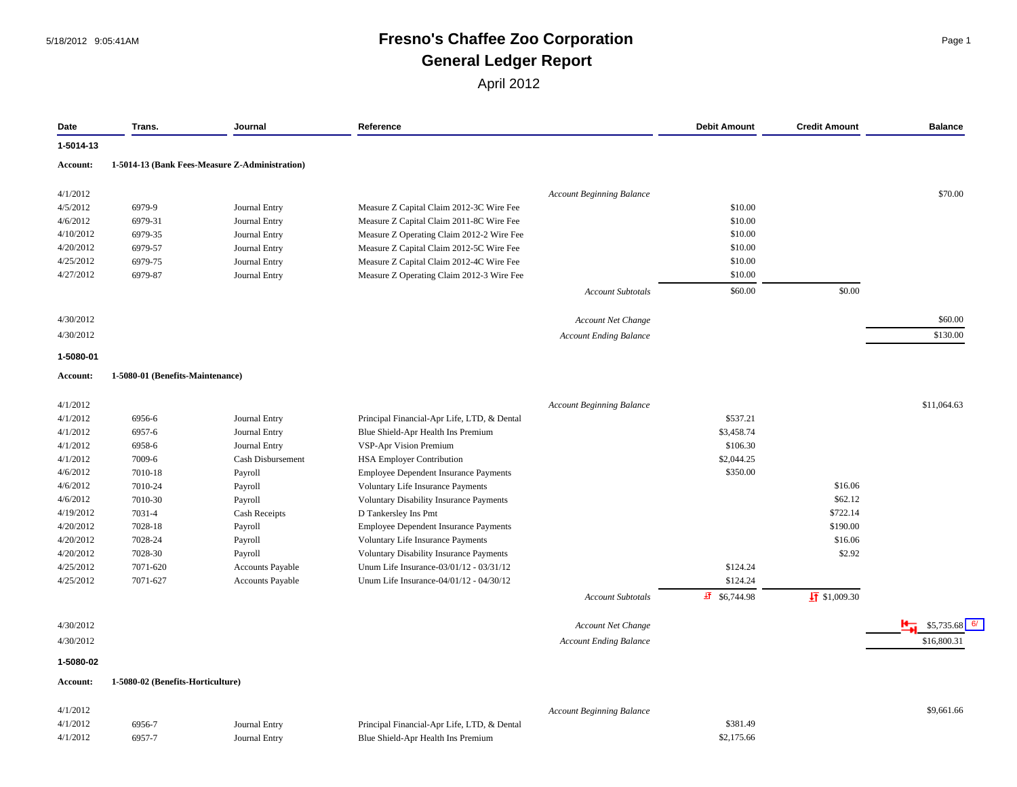# 5/18/2012 9:05:41AM **Fresno's Chaffee Zoo Corporation** Page 1 **General Ledger Report**

| Date      | Trans.                            | Journal                                        | Reference                                      |                                  | <b>Debit Amount</b>   | <b>Credit Amount</b>   | <b>Balance</b> |
|-----------|-----------------------------------|------------------------------------------------|------------------------------------------------|----------------------------------|-----------------------|------------------------|----------------|
| 1-5014-13 |                                   |                                                |                                                |                                  |                       |                        |                |
| Account:  |                                   | 1-5014-13 (Bank Fees-Measure Z-Administration) |                                                |                                  |                       |                        |                |
| 4/1/2012  |                                   |                                                |                                                | <b>Account Beginning Balance</b> |                       |                        | \$70.00        |
| 4/5/2012  | 6979-9                            | Journal Entry                                  | Measure Z Capital Claim 2012-3C Wire Fee       |                                  | \$10.00               |                        |                |
| 4/6/2012  | 6979-31                           | Journal Entry                                  | Measure Z Capital Claim 2011-8C Wire Fee       |                                  | \$10.00               |                        |                |
| 4/10/2012 | 6979-35                           | Journal Entry                                  | Measure Z Operating Claim 2012-2 Wire Fee      |                                  | \$10.00               |                        |                |
| 4/20/2012 | 6979-57                           | Journal Entry                                  | Measure Z Capital Claim 2012-5C Wire Fee       |                                  | \$10.00               |                        |                |
| 4/25/2012 | 6979-75                           | Journal Entry                                  | Measure Z Capital Claim 2012-4C Wire Fee       |                                  | \$10.00               |                        |                |
| 4/27/2012 | 6979-87                           | Journal Entry                                  | Measure Z Operating Claim 2012-3 Wire Fee      |                                  | \$10.00               |                        |                |
|           |                                   |                                                |                                                | <b>Account Subtotals</b>         | \$60.00               | \$0.00                 |                |
|           |                                   |                                                |                                                |                                  |                       |                        |                |
| 4/30/2012 |                                   |                                                |                                                | Account Net Change               |                       |                        | \$60.00        |
| 4/30/2012 |                                   |                                                |                                                | <b>Account Ending Balance</b>    |                       |                        | \$130.00       |
| 1-5080-01 |                                   |                                                |                                                |                                  |                       |                        |                |
| Account:  | 1-5080-01 (Benefits-Maintenance)  |                                                |                                                |                                  |                       |                        |                |
| 4/1/2012  |                                   |                                                |                                                | <b>Account Beginning Balance</b> |                       |                        | \$11,064.63    |
| 4/1/2012  | 6956-6                            | Journal Entry                                  | Principal Financial-Apr Life, LTD, & Dental    |                                  | \$537.21              |                        |                |
| 4/1/2012  | 6957-6                            | Journal Entry                                  | Blue Shield-Apr Health Ins Premium             |                                  | \$3,458.74            |                        |                |
| 4/1/2012  | 6958-6                            | <b>Journal Entry</b>                           | VSP-Apr Vision Premium                         |                                  | \$106.30              |                        |                |
| 4/1/2012  | 7009-6                            | Cash Disbursement                              | <b>HSA Employer Contribution</b>               |                                  | \$2,044.25            |                        |                |
| 4/6/2012  | 7010-18                           | Payroll                                        | <b>Employee Dependent Insurance Payments</b>   |                                  | \$350.00              |                        |                |
| 4/6/2012  | 7010-24                           | Payroll                                        | Voluntary Life Insurance Payments              |                                  |                       | \$16.06                |                |
| 4/6/2012  | 7010-30                           | Payroll                                        | <b>Voluntary Disability Insurance Payments</b> |                                  |                       | \$62.12                |                |
| 4/19/2012 | 7031-4                            | Cash Receipts                                  | D Tankersley Ins Pmt                           |                                  |                       | \$722.14               |                |
| 4/20/2012 | 7028-18                           | Payroll                                        | <b>Employee Dependent Insurance Payments</b>   |                                  |                       | \$190.00               |                |
| 4/20/2012 | 7028-24                           | Payroll                                        | Voluntary Life Insurance Payments              |                                  |                       | \$16.06                |                |
| 4/20/2012 | 7028-30                           | Payroll                                        | <b>Voluntary Disability Insurance Payments</b> |                                  |                       | \$2.92                 |                |
| 4/25/2012 | 7071-620                          | <b>Accounts Payable</b>                        | Unum Life Insurance-03/01/12 - 03/31/12        |                                  | \$124.24              |                        |                |
| 4/25/2012 | 7071-627                          | <b>Accounts Payable</b>                        | Unum Life Insurance-04/01/12 - 04/30/12        |                                  | \$124.24              |                        |                |
|           |                                   |                                                |                                                | <b>Account Subtotals</b>         | $\sqrt{1}$ \$6,744.98 | $\sqrt{11}$ \$1,009.30 |                |
| 4/30/2012 |                                   |                                                |                                                | <b>Account Net Change</b>        |                       |                        | \$5,735.68     |
| 4/30/2012 |                                   |                                                |                                                | <b>Account Ending Balance</b>    |                       |                        | \$16,800.31    |
| 1-5080-02 |                                   |                                                |                                                |                                  |                       |                        |                |
| Account:  | 1-5080-02 (Benefits-Horticulture) |                                                |                                                |                                  |                       |                        |                |
|           |                                   |                                                |                                                |                                  |                       |                        |                |
| 4/1/2012  |                                   |                                                |                                                | <b>Account Beginning Balance</b> |                       |                        | \$9,661.66     |
| 4/1/2012  | 6956-7                            | Journal Entry                                  | Principal Financial-Apr Life, LTD, & Dental    |                                  | \$381.49              |                        |                |
| 4/1/2012  | 6957-7                            | <b>Journal Entry</b>                           | Blue Shield-Apr Health Ins Premium             |                                  | \$2,175.66            |                        |                |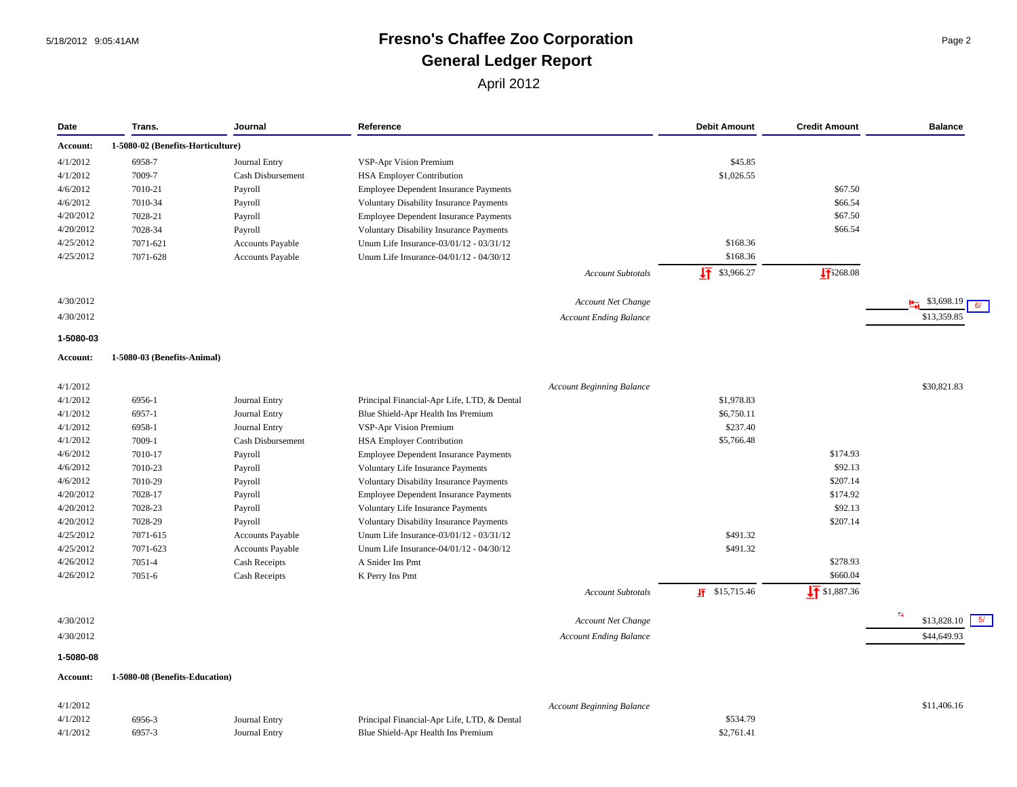# 5/18/2012 9:05:41AM **Fresno's Chaffee Zoo Corporation** Page 2 **General Ledger Report**

| Date                         | Trans.                            | Journal                            | Reference                                                                         |                                  | <b>Debit Amount</b>     | <b>Credit Amount</b>     | <b>Balance</b>           |
|------------------------------|-----------------------------------|------------------------------------|-----------------------------------------------------------------------------------|----------------------------------|-------------------------|--------------------------|--------------------------|
| Account:                     | 1-5080-02 (Benefits-Horticulture) |                                    |                                                                                   |                                  |                         |                          |                          |
| 4/1/2012                     | 6958-7                            | Journal Entry                      | VSP-Apr Vision Premium                                                            |                                  | \$45.85                 |                          |                          |
| 4/1/2012                     | 7009-7                            | Cash Disbursement                  | <b>HSA Employer Contribution</b>                                                  |                                  | \$1,026.55              |                          |                          |
| 4/6/2012                     | 7010-21                           | Payroll                            | <b>Employee Dependent Insurance Payments</b>                                      |                                  |                         | \$67.50                  |                          |
| 4/6/2012                     | 7010-34                           | Payroll                            | Voluntary Disability Insurance Payments                                           |                                  |                         | \$66.54                  |                          |
| 4/20/2012                    | 7028-21                           | Payroll                            | <b>Employee Dependent Insurance Payments</b>                                      |                                  |                         | \$67.50                  |                          |
| 4/20/2012                    | 7028-34                           | Payroll                            | <b>Voluntary Disability Insurance Payments</b>                                    |                                  |                         | \$66.54                  |                          |
| 4/25/2012                    | 7071-621                          | <b>Accounts Payable</b>            | Unum Life Insurance-03/01/12 - 03/31/12                                           |                                  | \$168.36                |                          |                          |
| 4/25/2012                    | 7071-628                          | <b>Accounts Payable</b>            | Unum Life Insurance-04/01/12 - 04/30/12                                           |                                  | \$168.36                |                          |                          |
|                              |                                   |                                    |                                                                                   | <b>Account Subtotals</b>         | 圷<br>\$3,966.27         | $\sqrt{11}$ 3268.08      |                          |
| 4/30/2012                    |                                   |                                    |                                                                                   | <b>Account Net Change</b>        |                         |                          | $\frac{1}{2}$ \$3,698.19 |
| 4/30/2012                    |                                   |                                    |                                                                                   | <b>Account Ending Balance</b>    |                         |                          | \$13,359.85              |
| 1-5080-03                    |                                   |                                    |                                                                                   |                                  |                         |                          |                          |
| Account:                     | 1-5080-03 (Benefits-Animal)       |                                    |                                                                                   |                                  |                         |                          |                          |
|                              |                                   |                                    |                                                                                   |                                  |                         |                          |                          |
| 4/1/2012                     |                                   |                                    |                                                                                   | <b>Account Beginning Balance</b> |                         |                          | \$30,821.83              |
| 4/1/2012                     | 6956-1                            | Journal Entry                      | Principal Financial-Apr Life, LTD, & Dental                                       |                                  | \$1,978.83              |                          |                          |
| 4/1/2012<br>4/1/2012         | 6957-1                            | Journal Entry                      | Blue Shield-Apr Health Ins Premium                                                |                                  | \$6,750.11<br>\$237.40  |                          |                          |
| 4/1/2012                     | 6958-1<br>7009-1                  | Journal Entry<br>Cash Disbursement | VSP-Apr Vision Premium<br><b>HSA Employer Contribution</b>                        |                                  | \$5,766.48              |                          |                          |
| 4/6/2012                     | 7010-17                           |                                    |                                                                                   |                                  |                         | \$174.93                 |                          |
| 4/6/2012                     | 7010-23                           | Payroll                            | <b>Employee Dependent Insurance Payments</b><br>Voluntary Life Insurance Payments |                                  |                         | \$92.13                  |                          |
| 4/6/2012                     | 7010-29                           | Payroll<br>Payroll                 | <b>Voluntary Disability Insurance Payments</b>                                    |                                  |                         | \$207.14                 |                          |
| 4/20/2012                    | 7028-17                           | Payroll                            | <b>Employee Dependent Insurance Payments</b>                                      |                                  |                         | \$174.92                 |                          |
| 4/20/2012                    | 7028-23                           | Payroll                            | Voluntary Life Insurance Payments                                                 |                                  |                         | \$92.13                  |                          |
| 4/20/2012                    | 7028-29                           | Payroll                            | <b>Voluntary Disability Insurance Payments</b>                                    |                                  |                         | \$207.14                 |                          |
| 4/25/2012                    | 7071-615                          | Accounts Payable                   | Unum Life Insurance-03/01/12 - 03/31/12                                           |                                  | \$491.32                |                          |                          |
| 4/25/2012                    | 7071-623                          | Accounts Payable                   | Unum Life Insurance-04/01/12 - 04/30/12                                           |                                  | \$491.32                |                          |                          |
| 4/26/2012                    | 7051-4                            | <b>Cash Receipts</b>               | A Snider Ins Pmt                                                                  |                                  |                         | \$278.93                 |                          |
| 4/26/2012                    | $7051 - 6$                        | Cash Receipts                      | K Perry Ins Pmt                                                                   |                                  |                         | \$660.04                 |                          |
|                              |                                   |                                    |                                                                                   | Account Subtotals                | $\sqrt{11}$ \$15,715.46 | $\frac{1}{2}$ \$1,887.36 |                          |
| 4/30/2012                    |                                   |                                    |                                                                                   | <b>Account Net Change</b>        |                         |                          | 門<br>5/<br>\$13,828.10   |
| 4/30/2012                    |                                   |                                    |                                                                                   | <b>Account Ending Balance</b>    |                         |                          | \$44,649.93              |
|                              |                                   |                                    |                                                                                   |                                  |                         |                          |                          |
| 1-5080-08<br><b>Account:</b> | 1-5080-08 (Benefits-Education)    |                                    |                                                                                   |                                  |                         |                          |                          |
|                              |                                   |                                    |                                                                                   |                                  |                         |                          |                          |
| 4/1/2012                     |                                   |                                    |                                                                                   | <b>Account Beginning Balance</b> |                         |                          | \$11,406.16              |
| 4/1/2012                     | 6956-3                            | Journal Entry                      | Principal Financial-Apr Life, LTD, & Dental                                       |                                  | \$534.79                |                          |                          |
| 4/1/2012                     | 6957-3                            | Journal Entry                      | Blue Shield-Apr Health Ins Premium                                                |                                  | \$2,761.41              |                          |                          |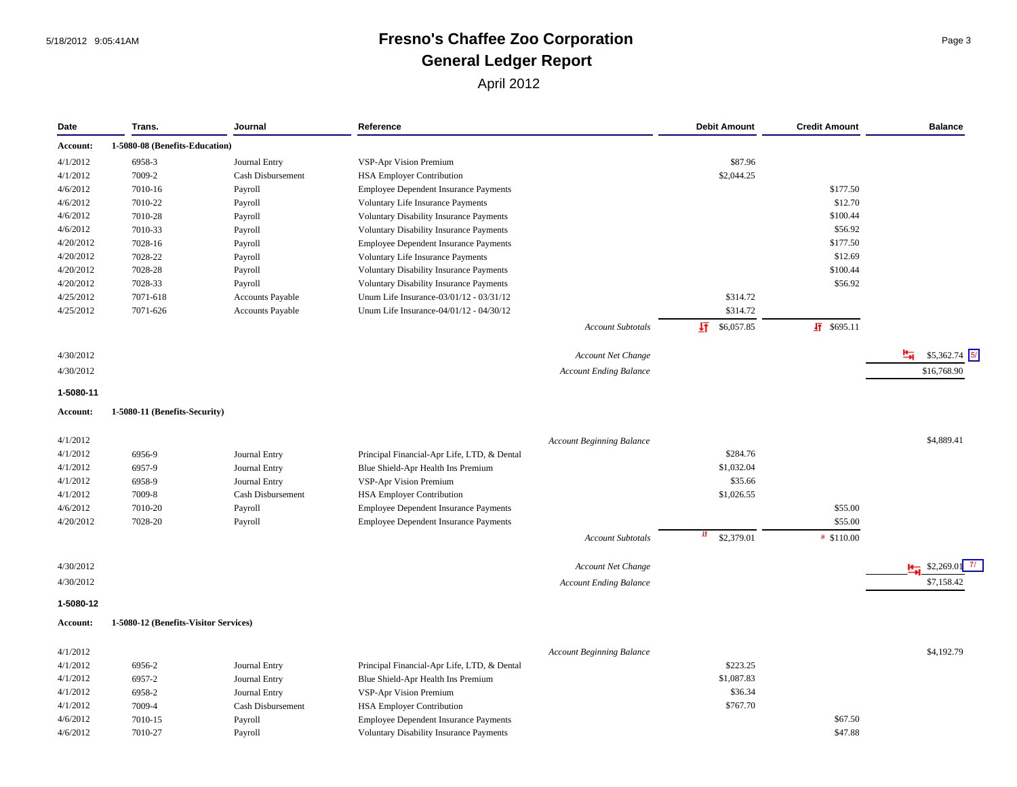#### 5/18/2012 9:05:41AM **Fresno's Chaffee Zoo Corporation** Page 3 **General Ledger Report**

| Date      | Trans.                                | Journal                  | Reference                                      |                                  | <b>Debit Amount</b> | <b>Credit Amount</b>     | <b>Balance</b>          |
|-----------|---------------------------------------|--------------------------|------------------------------------------------|----------------------------------|---------------------|--------------------------|-------------------------|
| Account:  | 1-5080-08 (Benefits-Education)        |                          |                                                |                                  |                     |                          |                         |
| 4/1/2012  | 6958-3                                | Journal Entry            | VSP-Apr Vision Premium                         |                                  | \$87.96             |                          |                         |
| 4/1/2012  | 7009-2                                | <b>Cash Disbursement</b> | <b>HSA Employer Contribution</b>               |                                  | \$2,044.25          |                          |                         |
| 4/6/2012  | 7010-16                               | Payroll                  | <b>Employee Dependent Insurance Payments</b>   |                                  |                     | \$177.50                 |                         |
| 4/6/2012  | 7010-22                               | Payroll                  | Voluntary Life Insurance Payments              |                                  |                     | \$12.70                  |                         |
| 4/6/2012  | 7010-28                               | Payroll                  | Voluntary Disability Insurance Payments        |                                  |                     | \$100.44                 |                         |
| 4/6/2012  | 7010-33                               | Payroll                  | <b>Voluntary Disability Insurance Payments</b> |                                  |                     | \$56.92                  |                         |
| 4/20/2012 | 7028-16                               | Payroll                  | Employee Dependent Insurance Payments          |                                  |                     | \$177.50                 |                         |
| 4/20/2012 | 7028-22                               | Payroll                  | Voluntary Life Insurance Payments              |                                  |                     | \$12.69                  |                         |
| 4/20/2012 | 7028-28                               | Payroll                  | <b>Voluntary Disability Insurance Payments</b> |                                  |                     | \$100.44                 |                         |
| 4/20/2012 | 7028-33                               | Payroll                  | <b>Voluntary Disability Insurance Payments</b> |                                  |                     | \$56.92                  |                         |
| 4/25/2012 | 7071-618                              | Accounts Payable         | Unum Life Insurance-03/01/12 - 03/31/12        |                                  | \$314.72            |                          |                         |
| 4/25/2012 | 7071-626                              | Accounts Payable         | Unum Life Insurance-04/01/12 - 04/30/12        |                                  | \$314.72            |                          |                         |
|           |                                       |                          |                                                | Account Subtotals                | 圷<br>\$6,057.85     | $\sqrt{11}$ \$695.11     |                         |
|           |                                       |                          |                                                |                                  |                     |                          |                         |
| 4/30/2012 |                                       |                          |                                                | Account Net Change               |                     |                          | 로<br>$$5,362.74$ 5/     |
| 4/30/2012 |                                       |                          |                                                | <b>Account Ending Balance</b>    |                     |                          | \$16,768.90             |
| 1-5080-11 |                                       |                          |                                                |                                  |                     |                          |                         |
| Account:  | 1-5080-11 (Benefits-Security)         |                          |                                                |                                  |                     |                          |                         |
| 4/1/2012  |                                       |                          |                                                | <b>Account Beginning Balance</b> |                     |                          | \$4,889.41              |
| 4/1/2012  | 6956-9                                | Journal Entry            | Principal Financial-Apr Life, LTD, & Dental    |                                  | \$284.76            |                          |                         |
| 4/1/2012  | 6957-9                                | Journal Entry            | Blue Shield-Apr Health Ins Premium             |                                  | \$1,032.04          |                          |                         |
| 4/1/2012  | 6958-9                                | Journal Entry            | VSP-Apr Vision Premium                         |                                  | \$35.66             |                          |                         |
| 4/1/2012  | 7009-8                                | Cash Disbursement        | <b>HSA Employer Contribution</b>               |                                  | \$1,026.55          |                          |                         |
| 4/6/2012  | 7010-20                               | Payroll                  | Employee Dependent Insurance Payments          |                                  |                     | \$55.00                  |                         |
| 4/20/2012 | 7028-20                               | Payroll                  | <b>Employee Dependent Insurance Payments</b>   |                                  |                     | \$55.00                  |                         |
|           |                                       |                          |                                                | <b>Account Subtotals</b>         | Ħ<br>\$2,379.01     | $\frac{15}{11}$ \$110.00 |                         |
| 4/30/2012 |                                       |                          |                                                | Account Net Change               |                     |                          | $\frac{H}{H}$ \$2,269.0 |
| 4/30/2012 |                                       |                          |                                                | <b>Account Ending Balance</b>    |                     |                          | \$7,158.42              |
|           |                                       |                          |                                                |                                  |                     |                          |                         |
| 1-5080-12 |                                       |                          |                                                |                                  |                     |                          |                         |
| Account:  | 1-5080-12 (Benefits-Visitor Services) |                          |                                                |                                  |                     |                          |                         |
| 4/1/2012  |                                       |                          |                                                | <b>Account Beginning Balance</b> |                     |                          | \$4,192.79              |
| 4/1/2012  | 6956-2                                | Journal Entry            | Principal Financial-Apr Life, LTD, & Dental    |                                  | \$223.25            |                          |                         |
| 4/1/2012  | 6957-2                                | Journal Entry            | Blue Shield-Apr Health Ins Premium             |                                  | \$1,087.83          |                          |                         |
| 4/1/2012  | 6958-2                                | Journal Entry            | VSP-Apr Vision Premium                         |                                  | \$36.34             |                          |                         |
| 4/1/2012  | 7009-4                                | Cash Disbursement        | <b>HSA Employer Contribution</b>               |                                  | \$767.70            |                          |                         |

4/6/2012 7010-15 Payroll Employee Dependent Insurance Payments \$67.50 4/6/2012 7010-27 Payroll Voluntary Disability Insurance Payments \$47.88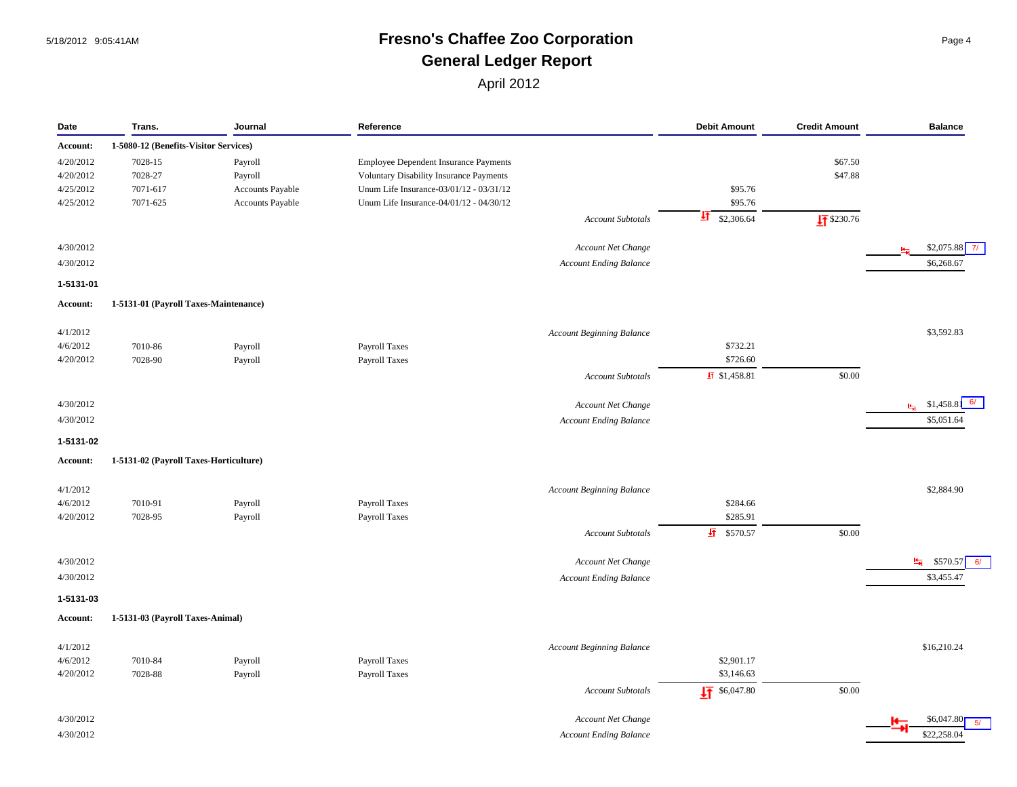#### 5/18/2012 9:05:41AM **Fresno's Chaffee Zoo Corporation** Page 4 **General Ledger Report**

| Date      | Trans.                                 | Journal          | Reference                               | <b>Debit Amount</b>        | <b>Credit Amount</b> | <b>Balance</b>                        |
|-----------|----------------------------------------|------------------|-----------------------------------------|----------------------------|----------------------|---------------------------------------|
| Account:  | 1-5080-12 (Benefits-Visitor Services)  |                  |                                         |                            |                      |                                       |
| 4/20/2012 | 7028-15                                | Payroll          | Employee Dependent Insurance Payments   |                            | \$67.50              |                                       |
| 4/20/2012 | 7028-27                                | Payroll          | Voluntary Disability Insurance Payments |                            | \$47.88              |                                       |
| 4/25/2012 | 7071-617                               | Accounts Payable | Unum Life Insurance-03/01/12 - 03/31/12 | \$95.76                    |                      |                                       |
| 4/25/2012 | 7071-625                               | Accounts Payable | Unum Life Insurance-04/01/12 - 04/30/12 | \$95.76                    |                      |                                       |
|           |                                        |                  | <b>Account Subtotals</b>                | $\frac{1}{2}$ \$2,306.64   | $\sqrt{11}$ \$230.76 |                                       |
| 4/30/2012 |                                        |                  | Account Net Change                      |                            |                      | $$2,075.88$ 7/<br>$H_{\overline{13}}$ |
| 4/30/2012 |                                        |                  | <b>Account Ending Balance</b>           |                            |                      | \$6,268.67                            |
| 1-5131-01 |                                        |                  |                                         |                            |                      |                                       |
| Account:  | 1-5131-01 (Payroll Taxes-Maintenance)  |                  |                                         |                            |                      |                                       |
|           |                                        |                  |                                         |                            |                      |                                       |
| 4/1/2012  |                                        |                  | <b>Account Beginning Balance</b>        |                            |                      | \$3,592.83                            |
| 4/6/2012  | 7010-86                                | Payroll          | Payroll Taxes                           | \$732.21                   |                      |                                       |
| 4/20/2012 | 7028-90                                | Payroll          | Payroll Taxes                           | \$726.60                   |                      |                                       |
|           |                                        |                  | Account Subtotals                       | $\overline{45}$ \$1,458.81 | \$0.00               |                                       |
| 4/30/2012 |                                        |                  | Account Net Change                      |                            |                      | 6/<br>$\frac{H}{H}$ \$1,458.8         |
| 4/30/2012 |                                        |                  | <b>Account Ending Balance</b>           |                            |                      | \$5,051.64                            |
| 1-5131-02 |                                        |                  |                                         |                            |                      |                                       |
| Account:  | 1-5131-02 (Payroll Taxes-Horticulture) |                  |                                         |                            |                      |                                       |
| 4/1/2012  |                                        |                  | <b>Account Beginning Balance</b>        |                            |                      | \$2,884.90                            |
| 4/6/2012  | 7010-91                                | Payroll          | Payroll Taxes                           | \$284.66                   |                      |                                       |
| 4/20/2012 | 7028-95                                | Payroll          | Payroll Taxes                           | \$285.91                   |                      |                                       |
|           |                                        |                  | <b>Account Subtotals</b>                | $\frac{1}{21}$ \$570.57    | \$0.00               |                                       |
| 4/30/2012 |                                        |                  | Account Net Change                      |                            |                      | $\frac{H}{H}$ \$570.57<br>6/          |
|           |                                        |                  |                                         |                            |                      |                                       |
| 4/30/2012 |                                        |                  | <b>Account Ending Balance</b>           |                            |                      | \$3,455.47                            |
| 1-5131-03 | 1-5131-03 (Payroll Taxes-Animal)       |                  |                                         |                            |                      |                                       |
| Account:  |                                        |                  |                                         |                            |                      |                                       |
| 4/1/2012  |                                        |                  | <b>Account Beginning Balance</b>        |                            |                      | \$16,210.24                           |
| 4/6/2012  | 7010-84                                | Payroll          | Payroll Taxes                           | \$2,901.17                 |                      |                                       |
| 4/20/2012 | 7028-88                                | Payroll          | Payroll Taxes                           | \$3,146.63                 |                      |                                       |
|           |                                        |                  | <b>Account Subtotals</b>                | $\frac{1}{2}$ \$6,047.80   | \$0.00               |                                       |
| 4/30/2012 |                                        |                  | Account Net Change                      |                            |                      | \$6,047.80                            |
| 4/30/2012 |                                        |                  | <b>Account Ending Balance</b>           |                            |                      | \$22,258.04                           |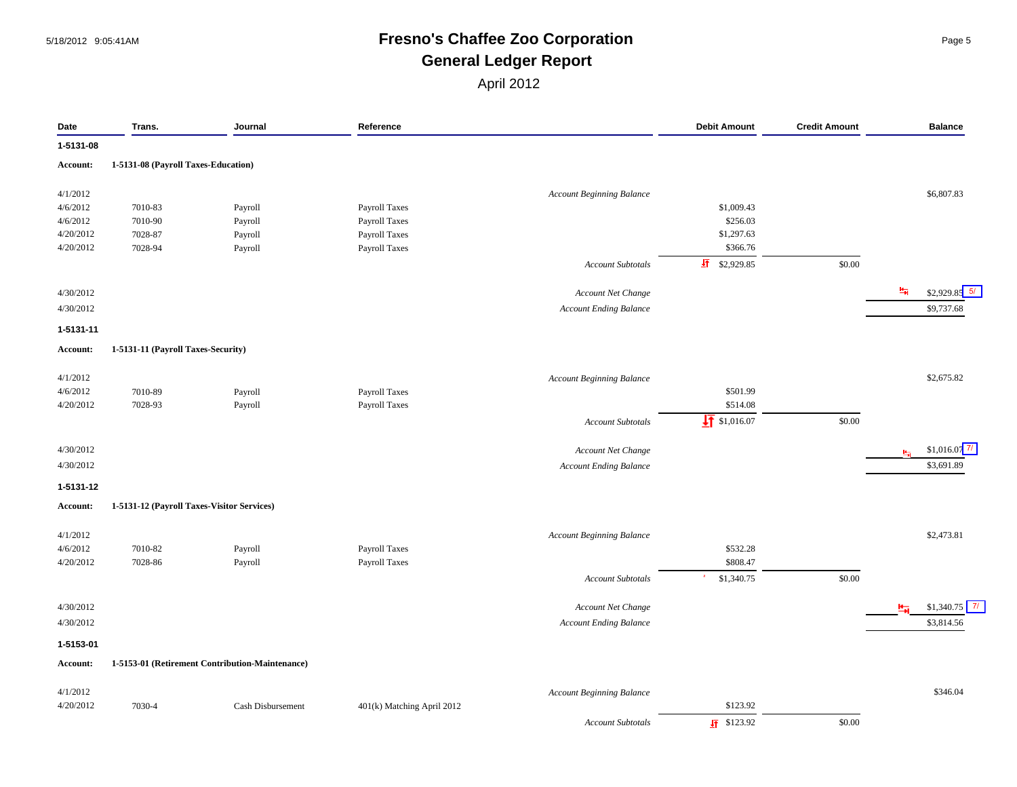## 5/18/2012 9:05:41AM **Fresno's Chaffee Zoo Corporation** Page 5 **General Ledger Report**

| Date                 | Trans.                                     | Journal                                         | Reference                  |                                  | <b>Debit Amount</b>      | <b>Credit Amount</b> | <b>Balance</b>                         |
|----------------------|--------------------------------------------|-------------------------------------------------|----------------------------|----------------------------------|--------------------------|----------------------|----------------------------------------|
| 1-5131-08            |                                            |                                                 |                            |                                  |                          |                      |                                        |
| Account:             | 1-5131-08 (Payroll Taxes-Education)        |                                                 |                            |                                  |                          |                      |                                        |
|                      |                                            |                                                 |                            |                                  |                          |                      |                                        |
| 4/1/2012             |                                            |                                                 |                            | <b>Account Beginning Balance</b> |                          |                      | \$6,807.83                             |
| 4/6/2012<br>4/6/2012 | 7010-83                                    | Payroll                                         | Payroll Taxes              |                                  | \$1,009.43<br>\$256.03   |                      |                                        |
|                      | 7010-90                                    | Payroll                                         | Payroll Taxes              |                                  |                          |                      |                                        |
| 4/20/2012            | 7028-87<br>7028-94                         | Payroll                                         | Payroll Taxes              |                                  | \$1,297.63               |                      |                                        |
| 4/20/2012            |                                            | Payroll                                         | Payroll Taxes              |                                  | \$366.76                 |                      |                                        |
|                      |                                            |                                                 |                            | <b>Account Subtotals</b>         | $\frac{1}{2}$ \$2,929.85 | \$0.00               |                                        |
| 4/30/2012            |                                            |                                                 |                            | Account Net Change               |                          |                      | H.<br>$$2,929.85$ 5/                   |
| 4/30/2012            |                                            |                                                 |                            | <b>Account Ending Balance</b>    |                          |                      | \$9,737.68                             |
| 1-5131-11            |                                            |                                                 |                            |                                  |                          |                      |                                        |
| Account:             | 1-5131-11 (Payroll Taxes-Security)         |                                                 |                            |                                  |                          |                      |                                        |
| 4/1/2012             |                                            |                                                 |                            | <b>Account Beginning Balance</b> |                          |                      | \$2,675.82                             |
| 4/6/2012             | 7010-89                                    | Payroll                                         | Payroll Taxes              |                                  | \$501.99                 |                      |                                        |
| 4/20/2012            | 7028-93                                    | Payroll                                         | Payroll Taxes              |                                  | \$514.08                 |                      |                                        |
|                      |                                            |                                                 |                            | <b>Account Subtotals</b>         | $\frac{1}{2}$ \$1,016.07 | \$0.00               |                                        |
| 4/30/2012            |                                            |                                                 |                            | Account Net Change               |                          |                      | $$1,016.07$ <sup>7/</sup><br><b>Ha</b> |
| 4/30/2012            |                                            |                                                 |                            | <b>Account Ending Balance</b>    |                          |                      | \$3,691.89                             |
| 1-5131-12            |                                            |                                                 |                            |                                  |                          |                      |                                        |
| Account:             | 1-5131-12 (Payroll Taxes-Visitor Services) |                                                 |                            |                                  |                          |                      |                                        |
|                      |                                            |                                                 |                            |                                  |                          |                      |                                        |
| 4/1/2012             |                                            |                                                 |                            | Account Beginning Balance        |                          |                      | \$2,473.81                             |
| 4/6/2012             | 7010-82                                    | Payroll                                         | Payroll Taxes              |                                  | \$532.28                 |                      |                                        |
| 4/20/2012            | 7028-86                                    | Payroll                                         | Payroll Taxes              |                                  | \$808.47                 |                      |                                        |
|                      |                                            |                                                 |                            | <b>Account Subtotals</b>         | \$1,340.75               | \$0.00               |                                        |
| 4/30/2012            |                                            |                                                 |                            | Account Net Change               |                          |                      | $$1,340.75$ 7/                         |
| 4/30/2012            |                                            |                                                 |                            | <b>Account Ending Balance</b>    |                          |                      | \$3,814.56                             |
| 1-5153-01            |                                            |                                                 |                            |                                  |                          |                      |                                        |
| <b>Account:</b>      |                                            | 1-5153-01 (Retirement Contribution-Maintenance) |                            |                                  |                          |                      |                                        |
| 4/1/2012             |                                            |                                                 |                            | <b>Account Beginning Balance</b> |                          |                      | \$346.04                               |
| 4/20/2012            | 7030-4                                     | Cash Disbursement                               | 401(k) Matching April 2012 |                                  | \$123.92                 |                      |                                        |
|                      |                                            |                                                 |                            | <b>Account Subtotals</b>         | $\frac{1}{2}$ \$123.92   | \$0.00               |                                        |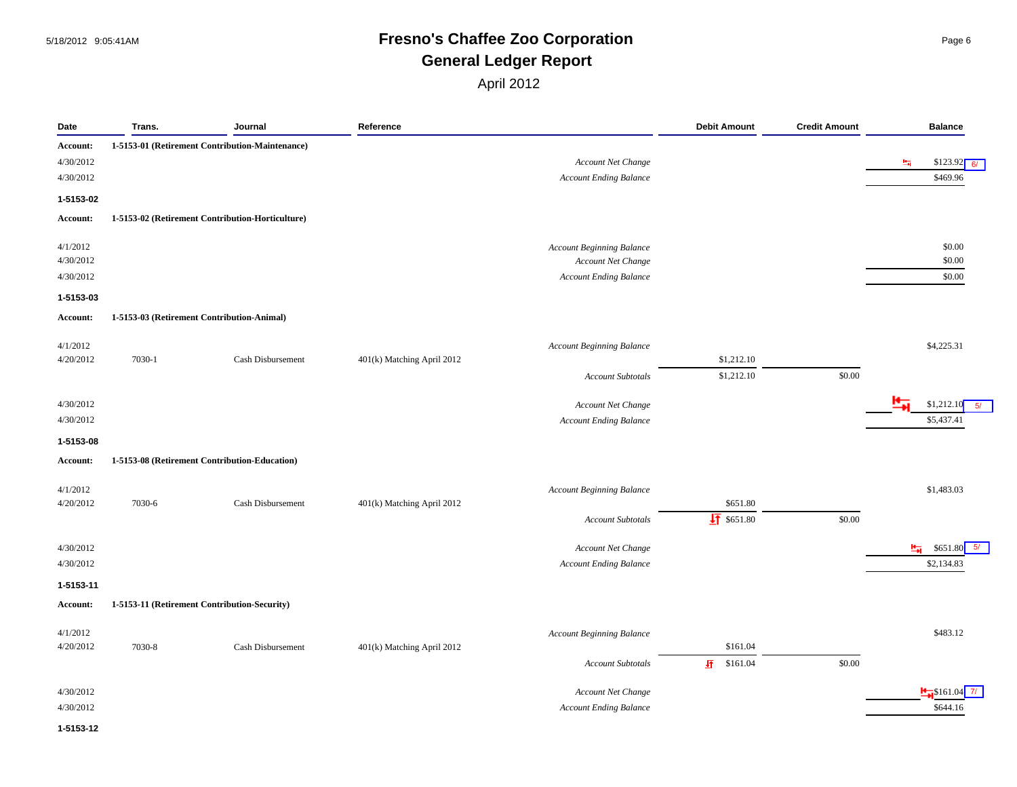#### 5/18/2012 9:05:41AM **Fresno's Chaffee Zoo Corporation** Page 6 **General Ledger Report**

| Date      | Trans. | Journal                                          | Reference                  |                                  | <b>Debit Amount</b>    | <b>Credit Amount</b> | <b>Balance</b>               |
|-----------|--------|--------------------------------------------------|----------------------------|----------------------------------|------------------------|----------------------|------------------------------|
| Account:  |        | 1-5153-01 (Retirement Contribution-Maintenance)  |                            |                                  |                        |                      |                              |
| 4/30/2012 |        |                                                  |                            | Account Net Change               |                        |                      | $$123.92$ 6/<br>圌            |
| 4/30/2012 |        |                                                  |                            | <b>Account Ending Balance</b>    |                        |                      | \$469.96                     |
| 1-5153-02 |        |                                                  |                            |                                  |                        |                      |                              |
| Account:  |        | 1-5153-02 (Retirement Contribution-Horticulture) |                            |                                  |                        |                      |                              |
|           |        |                                                  |                            |                                  |                        |                      |                              |
| 4/1/2012  |        |                                                  |                            | Account Beginning Balance        |                        |                      | \$0.00                       |
| 4/30/2012 |        |                                                  |                            | Account Net Change               |                        |                      | \$0.00                       |
| 4/30/2012 |        |                                                  |                            | <b>Account Ending Balance</b>    |                        |                      | \$0.00                       |
| 1-5153-03 |        |                                                  |                            |                                  |                        |                      |                              |
| Account:  |        | 1-5153-03 (Retirement Contribution-Animal)       |                            |                                  |                        |                      |                              |
| 4/1/2012  |        |                                                  |                            | <b>Account Beginning Balance</b> |                        |                      | \$4,225.31                   |
| 4/20/2012 | 7030-1 | Cash Disbursement                                | 401(k) Matching April 2012 |                                  | \$1,212.10             |                      |                              |
|           |        |                                                  |                            | <b>Account Subtotals</b>         | \$1,212.10             | \$0.00               |                              |
| 4/30/2012 |        |                                                  |                            | Account Net Change               |                        |                      | \$1,212.10<br>5/             |
| 4/30/2012 |        |                                                  |                            | <b>Account Ending Balance</b>    |                        |                      | \$5,437.41                   |
| 1-5153-08 |        |                                                  |                            |                                  |                        |                      |                              |
| Account:  |        | 1-5153-08 (Retirement Contribution-Education)    |                            |                                  |                        |                      |                              |
|           |        |                                                  |                            |                                  |                        |                      |                              |
| 4/1/2012  |        |                                                  |                            | <b>Account Beginning Balance</b> |                        |                      | \$1,483.03                   |
| 4/20/2012 | 7030-6 | Cash Disbursement                                | 401(k) Matching April 2012 |                                  | \$651.80               |                      |                              |
|           |        |                                                  |                            | <b>Account Subtotals</b>         | $\frac{1}{2}$ \$651.80 | \$0.00               |                              |
| 4/30/2012 |        |                                                  |                            | Account Net Change               |                        |                      | $\frac{H}{H}$ \$651.80<br>5/ |
| 4/30/2012 |        |                                                  |                            | <b>Account Ending Balance</b>    |                        |                      | \$2,134.83                   |
| 1-5153-11 |        |                                                  |                            |                                  |                        |                      |                              |
| Account:  |        | 1-5153-11 (Retirement Contribution-Security)     |                            |                                  |                        |                      |                              |
| 4/1/2012  |        |                                                  |                            | <b>Account Beginning Balance</b> |                        |                      | \$483.12                     |
| 4/20/2012 | 7030-8 | Cash Disbursement                                | 401(k) Matching April 2012 |                                  | \$161.04               |                      |                              |
|           |        |                                                  |                            | <b>Account Subtotals</b>         | $\frac{1}{2}$ \$161.04 | \$0.00               |                              |
| 4/30/2012 |        |                                                  |                            | Account Net Change               |                        |                      | $\frac{1}{2}$ \$161.04 7/    |
| 4/30/2012 |        |                                                  |                            | <b>Account Ending Balance</b>    |                        |                      | \$644.16                     |
|           |        |                                                  |                            |                                  |                        |                      |                              |
| 1-5153-12 |        |                                                  |                            |                                  |                        |                      |                              |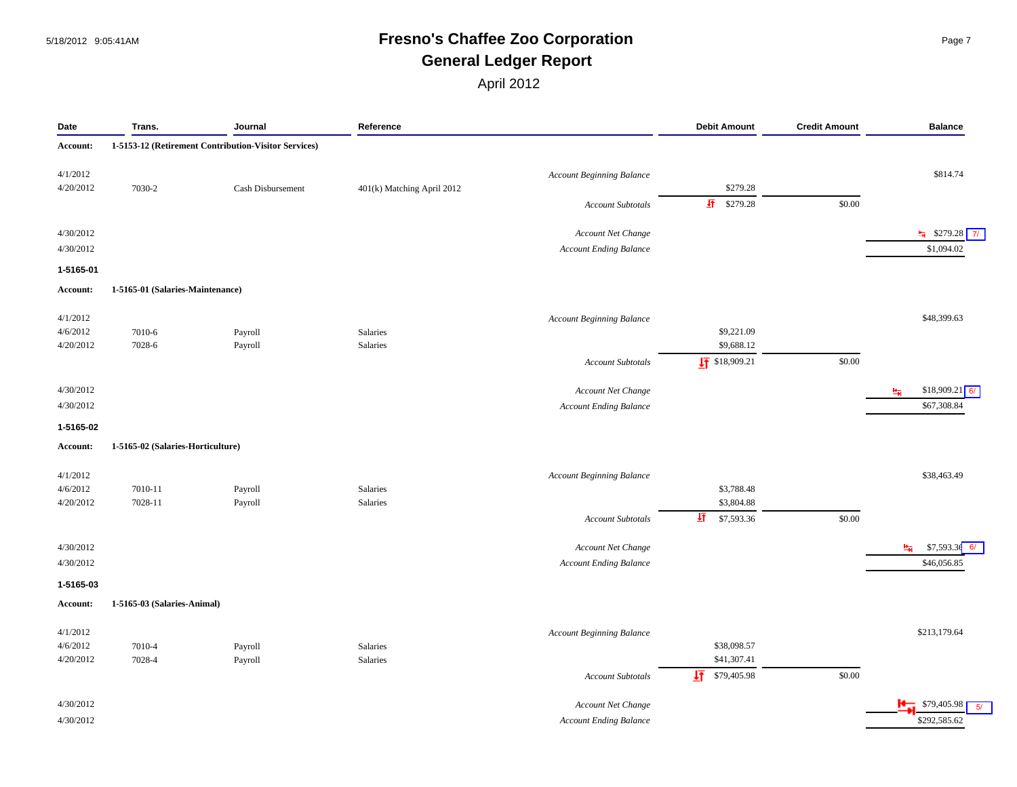#### 5/18/2012 9:05:41AM **Fresno's Chaffee Zoo Corporation** Page 7 **General Ledger Report**

| Date      | Trans.                            | Journal                                              | Reference                  |                                  | <b>Debit Amount</b>     | <b>Credit Amount</b> | <b>Balance</b>            |
|-----------|-----------------------------------|------------------------------------------------------|----------------------------|----------------------------------|-------------------------|----------------------|---------------------------|
| Account:  |                                   | 1-5153-12 (Retirement Contribution-Visitor Services) |                            |                                  |                         |                      |                           |
| 4/1/2012  |                                   |                                                      |                            | Account Beginning Balance        |                         |                      | \$814.74                  |
| 4/20/2012 | 7030-2                            | Cash Disbursement                                    | 401(k) Matching April 2012 |                                  | \$279.28                |                      |                           |
|           |                                   |                                                      |                            | <b>Account Subtotals</b>         | $\frac{1}{2}$ \$279.28  | \$0.00               |                           |
| 4/30/2012 |                                   |                                                      |                            | Account Net Change               |                         |                      | $\frac{1}{2}$ \$279.28 7/ |
| 4/30/2012 |                                   |                                                      |                            | <b>Account Ending Balance</b>    |                         |                      | \$1,094.02                |
| 1-5165-01 |                                   |                                                      |                            |                                  |                         |                      |                           |
| Account:  | 1-5165-01 (Salaries-Maintenance)  |                                                      |                            |                                  |                         |                      |                           |
| 4/1/2012  |                                   |                                                      |                            | <b>Account Beginning Balance</b> |                         |                      | \$48,399.63               |
| 4/6/2012  | 7010-6                            | Payroll                                              | Salaries                   |                                  | \$9,221.09              |                      |                           |
| 4/20/2012 | 7028-6                            | Payroll                                              | Salaries                   |                                  | \$9,688.12              |                      |                           |
|           |                                   |                                                      |                            | <b>Account Subtotals</b>         | $\sqrt{11}$ \$18,909.21 | \$0.00               |                           |
| 4/30/2012 |                                   |                                                      |                            | Account Net Change               |                         |                      | $$18,909.21$ 6/<br>量      |
| 4/30/2012 |                                   |                                                      |                            | <b>Account Ending Balance</b>    |                         |                      | \$67,308.84               |
| 1-5165-02 |                                   |                                                      |                            |                                  |                         |                      |                           |
| Account:  | 1-5165-02 (Salaries-Horticulture) |                                                      |                            |                                  |                         |                      |                           |
| 4/1/2012  |                                   |                                                      |                            | <b>Account Beginning Balance</b> |                         |                      | \$38,463.49               |
| 4/6/2012  | 7010-11                           | Payroll                                              | Salaries                   |                                  | \$3,788.48              |                      |                           |
| 4/20/2012 | 7028-11                           | Payroll                                              | Salaries                   |                                  | \$3,804.88              |                      |                           |
|           |                                   |                                                      |                            | <b>Account Subtotals</b>         | 軖<br>\$7,593.36         | \$0.00               |                           |
| 4/30/2012 |                                   |                                                      |                            | Account Net Change               |                         |                      | $$7,593.36$ 6/<br>中       |
| 4/30/2012 |                                   |                                                      |                            | <b>Account Ending Balance</b>    |                         |                      | \$46,056.85               |
| 1-5165-03 |                                   |                                                      |                            |                                  |                         |                      |                           |
| Account:  | 1-5165-03 (Salaries-Animal)       |                                                      |                            |                                  |                         |                      |                           |
| 4/1/2012  |                                   |                                                      |                            | <b>Account Beginning Balance</b> |                         |                      | \$213,179.64              |
| 4/6/2012  | 7010-4                            | Payroll                                              | Salaries                   |                                  | \$38,098.57             |                      |                           |
| 4/20/2012 | 7028-4                            | Payroll                                              | Salaries                   |                                  | \$41,307.41             |                      |                           |
|           |                                   |                                                      |                            | <b>Account Subtotals</b>         | 圩<br>\$79,405.98        | \$0.00               |                           |
| 4/30/2012 |                                   |                                                      |                            | Account Net Change               |                         |                      | 5/                        |
| 4/30/2012 |                                   |                                                      |                            | <b>Account Ending Balance</b>    |                         |                      | \$292,585.62              |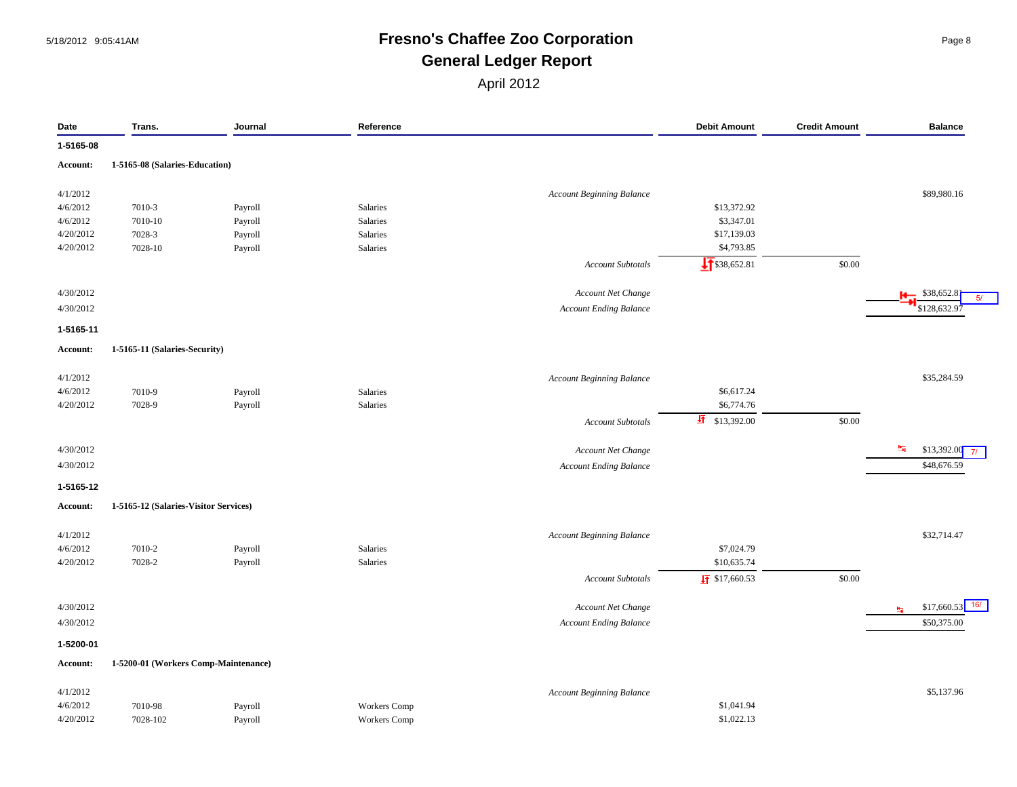#### 5/18/2012 9:05:41AM **Fresno's Chaffee Zoo Corporation** Page 8 **General Ledger Report**

| Date            | Trans.                                | Journal | Reference           |                                  | <b>Debit Amount</b>       | <b>Credit Amount</b> | <b>Balance</b>              |
|-----------------|---------------------------------------|---------|---------------------|----------------------------------|---------------------------|----------------------|-----------------------------|
| 1-5165-08       |                                       |         |                     |                                  |                           |                      |                             |
| <b>Account:</b> | 1-5165-08 (Salaries-Education)        |         |                     |                                  |                           |                      |                             |
| 4/1/2012        |                                       |         |                     | <b>Account Beginning Balance</b> |                           |                      | \$89,980.16                 |
| 4/6/2012        | 7010-3                                | Payroll | Salaries            |                                  | \$13,372.92               |                      |                             |
| 4/6/2012        | 7010-10                               | Payroll | Salaries            |                                  | \$3,347.01                |                      |                             |
| 4/20/2012       | 7028-3                                | Payroll | Salaries            |                                  | \$17,139.03               |                      |                             |
| 4/20/2012       | 7028-10                               | Payroll | Salaries            |                                  | \$4,793.85                |                      |                             |
|                 |                                       |         |                     | <b>Account Subtotals</b>         | $\sqrt{1}$ \$38,652.81    | \$0.00               |                             |
|                 |                                       |         |                     |                                  |                           |                      |                             |
| 4/30/2012       |                                       |         |                     | Account Net Change               |                           |                      | \$38,652.8                  |
| 4/30/2012       |                                       |         |                     | <b>Account Ending Balance</b>    |                           |                      | \$128,632.9                 |
| 1-5165-11       |                                       |         |                     |                                  |                           |                      |                             |
| Account:        | 1-5165-11 (Salaries-Security)         |         |                     |                                  |                           |                      |                             |
| 4/1/2012        |                                       |         |                     | <b>Account Beginning Balance</b> |                           |                      | \$35,284.59                 |
| 4/6/2012        | 7010-9                                | Payroll | Salaries            |                                  | \$6,617.24                |                      |                             |
| 4/20/2012       | 7028-9                                | Payroll | Salaries            |                                  | \$6,774.76                |                      |                             |
|                 |                                       |         |                     | <b>Account Subtotals</b>         | 五<br>\$13,392.00          | \$0.00               |                             |
| 4/30/2012       |                                       |         |                     | Account Net Change               |                           |                      | <b>H</b><br>$$13,392.00$ 7/ |
| 4/30/2012       |                                       |         |                     | <b>Account Ending Balance</b>    |                           |                      | \$48,676.59                 |
| 1-5165-12       |                                       |         |                     |                                  |                           |                      |                             |
| <b>Account:</b> | 1-5165-12 (Salaries-Visitor Services) |         |                     |                                  |                           |                      |                             |
| 4/1/2012        |                                       |         |                     | <b>Account Beginning Balance</b> |                           |                      | \$32,714.47                 |
| 4/6/2012        | 7010-2                                | Payroll | Salaries            |                                  | \$7,024.79                |                      |                             |
| 4/20/2012       | 7028-2                                | Payroll | Salaries            |                                  | \$10,635.74               |                      |                             |
|                 |                                       |         |                     | <b>Account Subtotals</b>         | $\frac{1}{2}$ \$17,660.53 | \$0.00               |                             |
| 4/30/2012       |                                       |         |                     | Account Net Change               |                           |                      | \$17,660.53<br>蝠            |
| 4/30/2012       |                                       |         |                     | <b>Account Ending Balance</b>    |                           |                      | \$50,375.00                 |
| 1-5200-01       |                                       |         |                     |                                  |                           |                      |                             |
| Account:        | 1-5200-01 (Workers Comp-Maintenance)  |         |                     |                                  |                           |                      |                             |
| 4/1/2012        |                                       |         |                     | <b>Account Beginning Balance</b> |                           |                      | \$5,137.96                  |
| 4/6/2012        | 7010-98                               | Payroll | <b>Workers</b> Comp |                                  | \$1,041.94                |                      |                             |
| 4/20/2012       | 7028-102                              | Payroll | Workers Comp        |                                  | \$1,022.13                |                      |                             |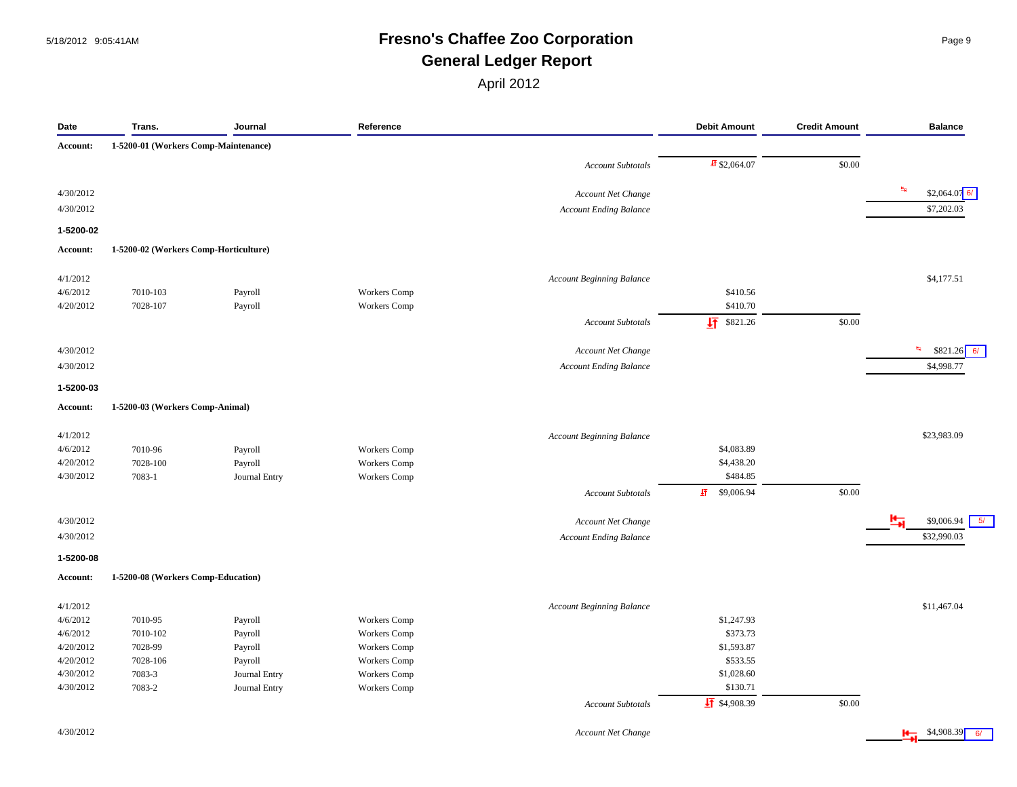#### 5/18/2012 9:05:41AM **Fresno's Chaffee Zoo Corporation** Page 9 **General Ledger Report**

April 2012

| Date      | Trans.                                | Journal            | Reference           |                                  | <b>Debit Amount</b>      | <b>Credit Amount</b> | <b>Balance</b>               |
|-----------|---------------------------------------|--------------------|---------------------|----------------------------------|--------------------------|----------------------|------------------------------|
| Account:  | 1-5200-01 (Workers Comp-Maintenance)  |                    |                     |                                  |                          |                      |                              |
|           |                                       |                    |                     | <b>Account Subtotals</b>         | $\frac{1}{2}$ \$2,064.07 | \$0.00               |                              |
| 4/30/2012 |                                       |                    |                     | Account Net Change               |                          |                      | 斷<br>$$2,064.07$ 6/          |
| 4/30/2012 |                                       |                    |                     | <b>Account Ending Balance</b>    |                          |                      | \$7,202.03                   |
| 1-5200-02 |                                       |                    |                     |                                  |                          |                      |                              |
| Account:  | 1-5200-02 (Workers Comp-Horticulture) |                    |                     |                                  |                          |                      |                              |
| 4/1/2012  |                                       |                    |                     | <b>Account Beginning Balance</b> |                          |                      | \$4,177.51                   |
| 4/6/2012  | 7010-103                              | Payroll            | Workers Comp        |                                  | \$410.56                 |                      |                              |
| 4/20/2012 | 7028-107                              | Payroll            | <b>Workers</b> Comp |                                  | \$410.70                 |                      |                              |
|           |                                       |                    |                     | <b>Account Subtotals</b>         | $\sqrt{11}$ \$821.26     | \$0.00               |                              |
| 4/30/2012 |                                       |                    |                     | Account Net Change               |                          |                      | <b>B</b><br>$$821.26$ 6/     |
| 4/30/2012 |                                       |                    |                     | <b>Account Ending Balance</b>    |                          |                      | \$4,998.77                   |
| 1-5200-03 |                                       |                    |                     |                                  |                          |                      |                              |
| Account:  | 1-5200-03 (Workers Comp-Animal)       |                    |                     |                                  |                          |                      |                              |
| 4/1/2012  |                                       |                    |                     | <b>Account Beginning Balance</b> |                          |                      | \$23,983.09                  |
| 4/6/2012  | 7010-96                               |                    | <b>Workers</b> Comp |                                  | \$4,083.89               |                      |                              |
| 4/20/2012 | 7028-100                              | Payroll<br>Payroll | Workers Comp        |                                  | \$4,438.20               |                      |                              |
| 4/30/2012 | 7083-1                                | Journal Entry      | <b>Workers</b> Comp |                                  | \$484.85                 |                      |                              |
|           |                                       |                    |                     |                                  |                          |                      |                              |
|           |                                       |                    |                     | <b>Account Subtotals</b>         | 虾<br>\$9,006.94          | \$0.00               |                              |
| 4/30/2012 |                                       |                    |                     | <b>Account Net Change</b>        |                          |                      | 5/<br>\$9,006.94             |
| 4/30/2012 |                                       |                    |                     | <b>Account Ending Balance</b>    |                          |                      | \$32,990.03                  |
| 1-5200-08 |                                       |                    |                     |                                  |                          |                      |                              |
| Account:  | 1-5200-08 (Workers Comp-Education)    |                    |                     |                                  |                          |                      |                              |
| 4/1/2012  |                                       |                    |                     | <b>Account Beginning Balance</b> |                          |                      | \$11,467.04                  |
| 4/6/2012  | 7010-95                               | Payroll            | <b>Workers</b> Comp |                                  | \$1,247.93               |                      |                              |
| 4/6/2012  | 7010-102                              | Payroll            | <b>Workers</b> Comp |                                  | \$373.73                 |                      |                              |
| 4/20/2012 | 7028-99                               | Payroll            | <b>Workers</b> Comp |                                  | \$1,593.87               |                      |                              |
| 4/20/2012 | 7028-106                              | Payroll            | <b>Workers</b> Comp |                                  | \$533.55                 |                      |                              |
| 4/30/2012 | 7083-3                                | Journal Entry      | <b>Workers</b> Comp |                                  | \$1,028.60               |                      |                              |
| 4/30/2012 | 7083-2                                | Journal Entry      | Workers Comp        |                                  | \$130.71                 |                      |                              |
|           |                                       |                    |                     | <b>Account Subtotals</b>         | $\frac{1}{2}$ \$4,908.39 | \$0.00               |                              |
| 4/30/2012 |                                       |                    |                     | <b>Account Net Change</b>        |                          |                      | $\frac{4}{10}$ \$4,908.39 6/ |

4/30/2012 *Account Net Change* \$4,908.39